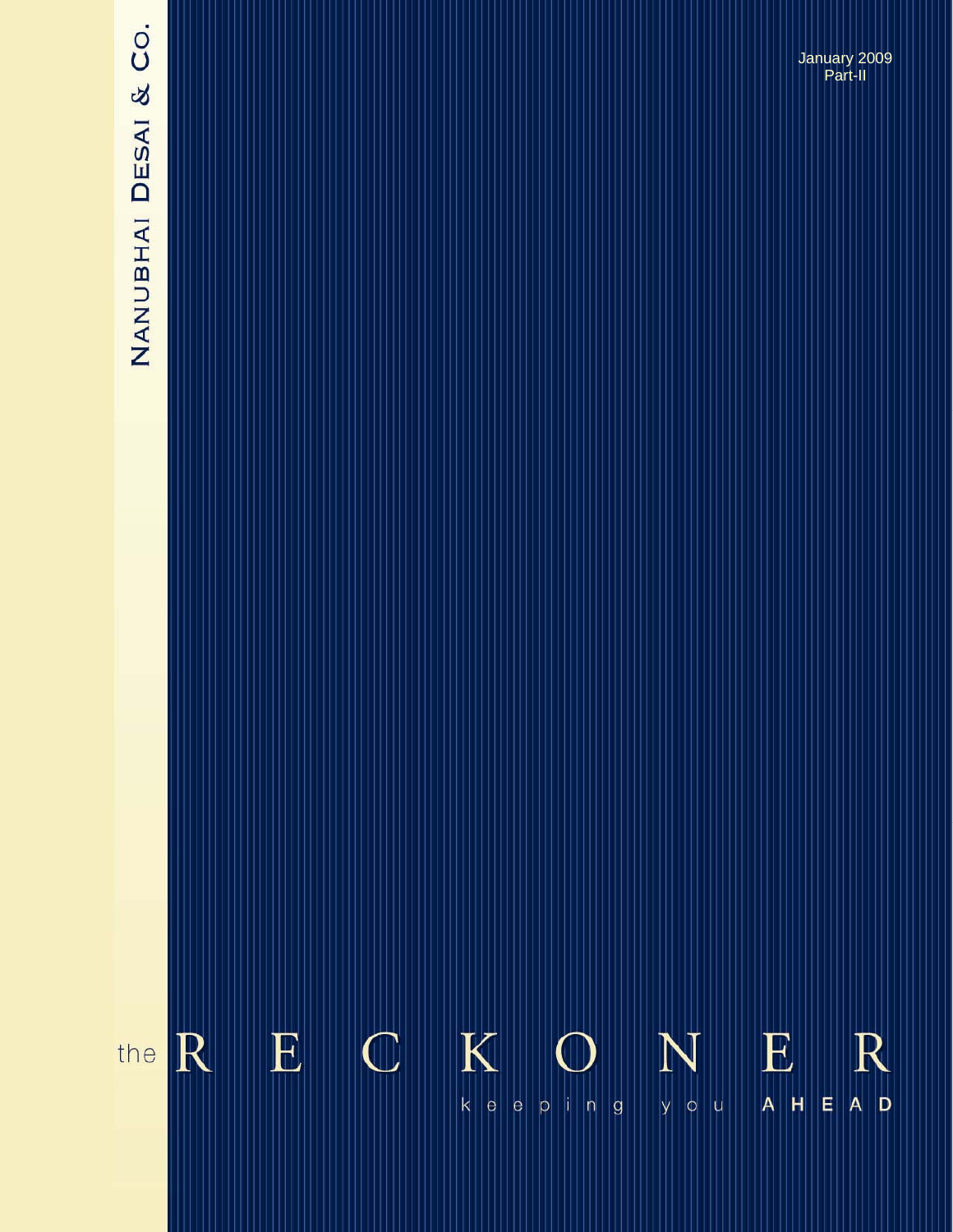# NANUBHAI DESAI & CO.

**The Reckoner….** *keeping you ahead* **August 2008**  January 2009 Part-II

### $\mathbf K$  $\mathbf E$  $\bigcirc$  $\mathbf E$ R  $\mathbb R$ N the  $k$   $e$ E  $A$  D  $p \mid |n|$  g  $A$   $H$  $\vert e \vert$  $|y||0|$ |u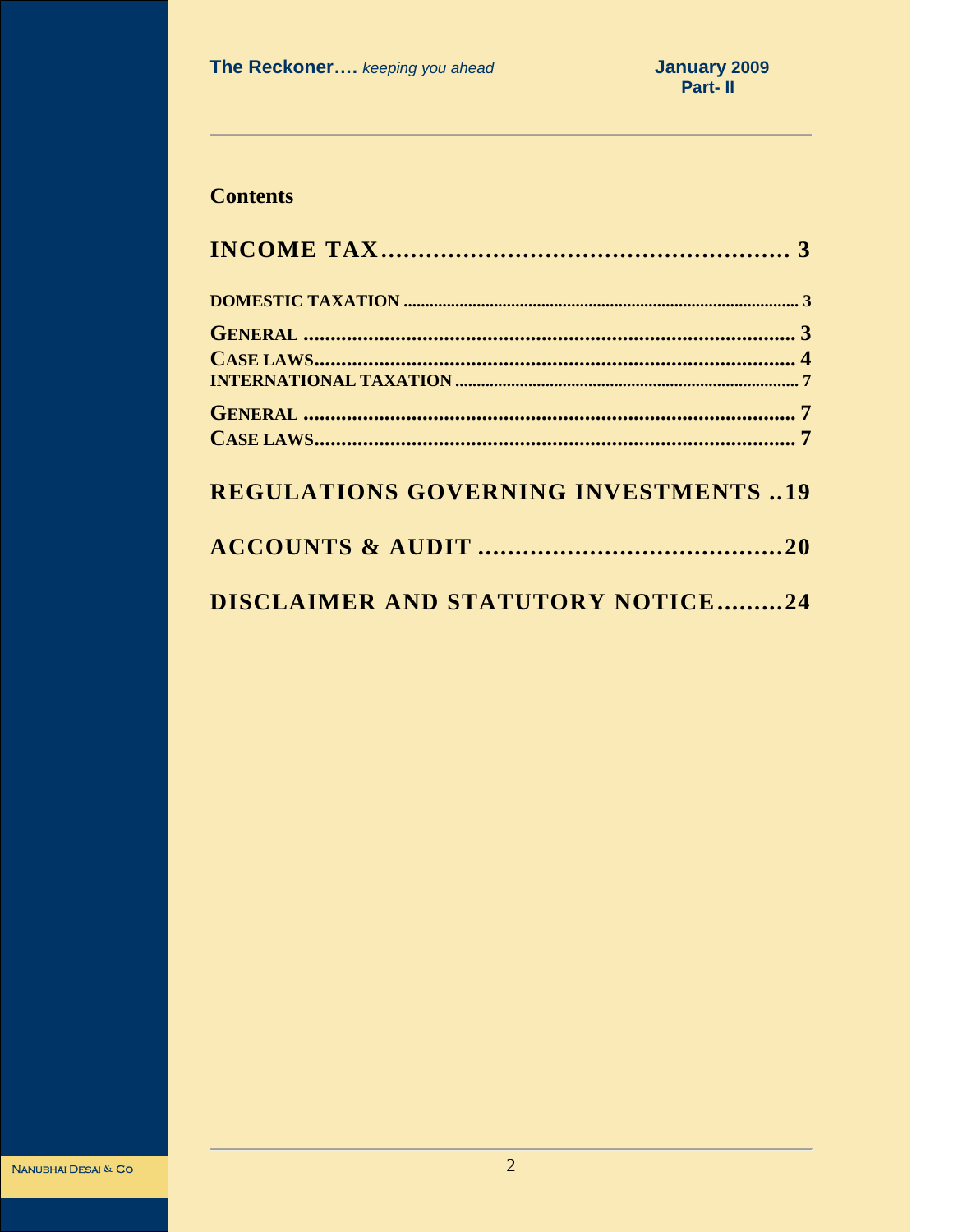# **Contents**

| <b>REGULATIONS GOVERNING INVESTMENTS19</b> |
|--------------------------------------------|
|                                            |
| DISCLAIMER AND STATUTORY NOTICE24          |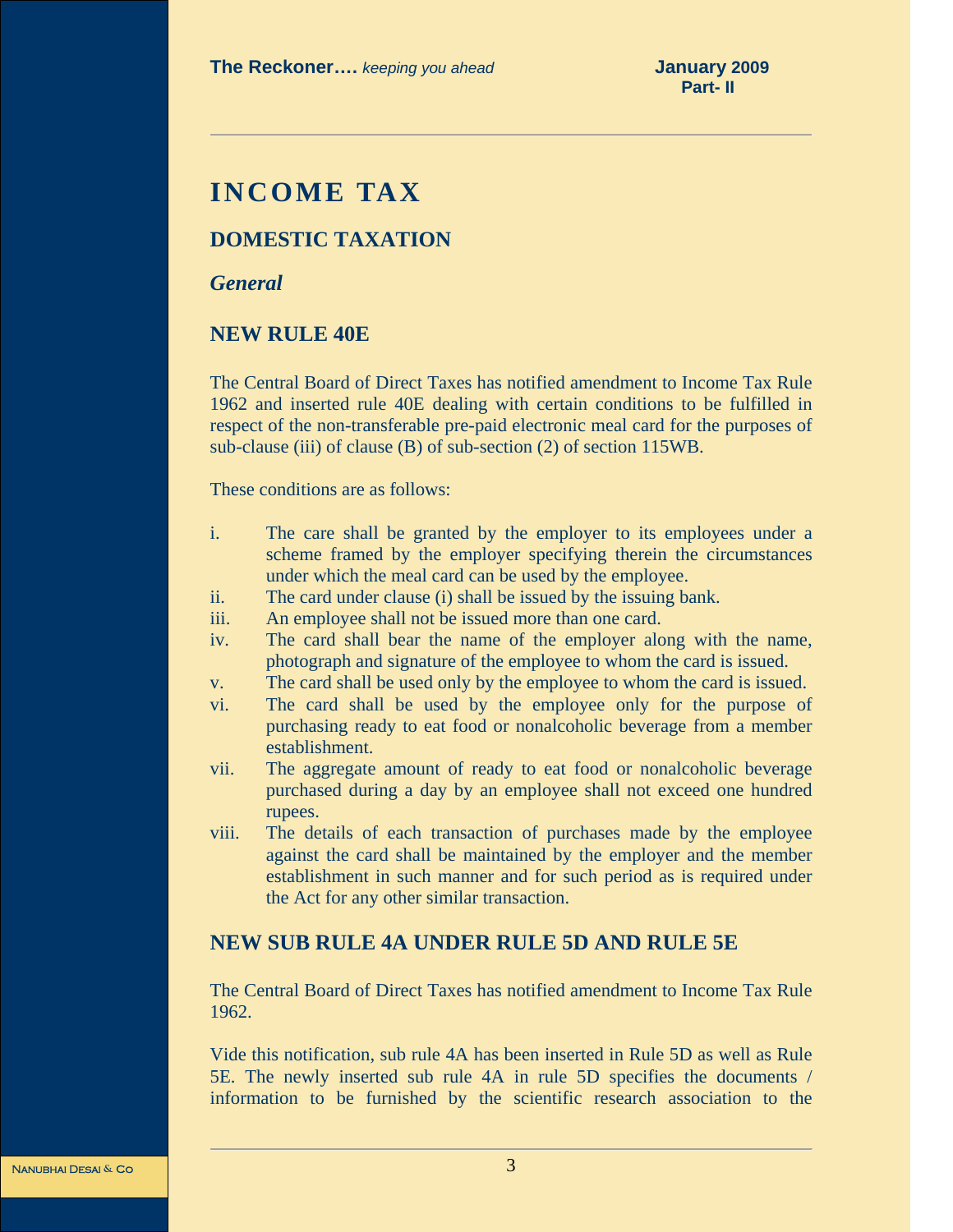# **INCOME TAX**

### **DOMESTIC TAXATION**

*General* 

### **NEW RULE 40E**

The Central Board of Direct Taxes has notified amendment to Income Tax Rule 1962 and inserted rule 40E dealing with certain conditions to be fulfilled in respect of the non-transferable pre-paid electronic meal card for the purposes of sub-clause (iii) of clause (B) of sub-section (2) of section 115WB.

These conditions are as follows:

- i. The care shall be granted by the employer to its employees under a scheme framed by the employer specifying therein the circumstances under which the meal card can be used by the employee.
- ii. The card under clause (i) shall be issued by the issuing bank.
- iii. An employee shall not be issued more than one card.
- iv. The card shall bear the name of the employer along with the name, photograph and signature of the employee to whom the card is issued.
- v. The card shall be used only by the employee to whom the card is issued.
- vi. The card shall be used by the employee only for the purpose of purchasing ready to eat food or nonalcoholic beverage from a member establishment.
- vii. The aggregate amount of ready to eat food or nonalcoholic beverage purchased during a day by an employee shall not exceed one hundred rupees.
- viii. The details of each transaction of purchases made by the employee against the card shall be maintained by the employer and the member establishment in such manner and for such period as is required under the Act for any other similar transaction.

### **NEW SUB RULE 4A UNDER RULE 5D AND RULE 5E**

The Central Board of Direct Taxes has notified amendment to Income Tax Rule 1962.

Vide this notification, sub rule 4A has been inserted in Rule 5D as well as Rule 5E. The newly inserted sub rule 4A in rule 5D specifies the documents / information to be furnished by the scientific research association to the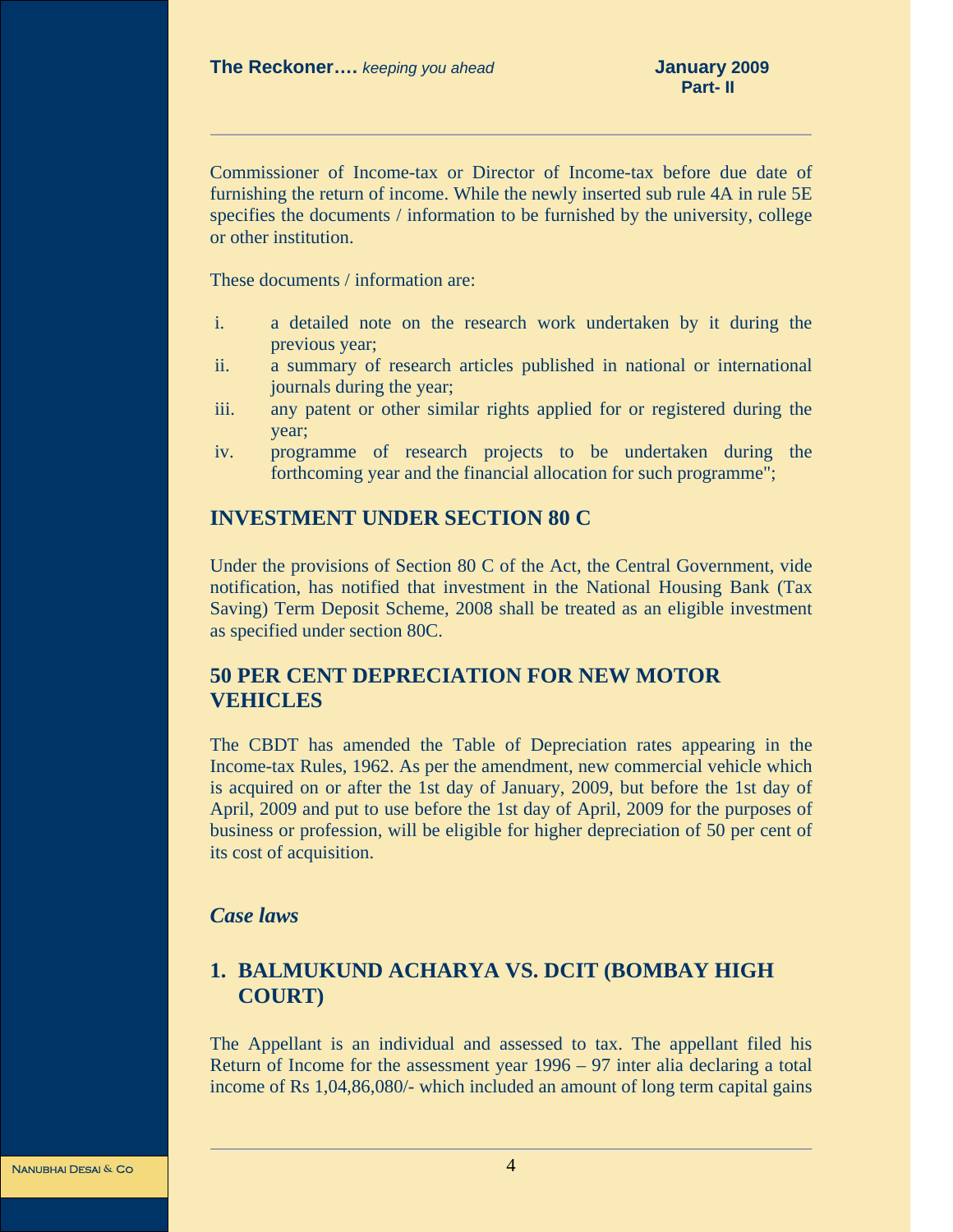Commissioner of Income-tax or Director of Income-tax before due date of furnishing the return of income. While the newly inserted sub rule 4A in rule 5E specifies the documents / information to be furnished by the university, college or other institution.

These documents / information are:

- i. a detailed note on the research work undertaken by it during the previous year;
- ii. a summary of research articles published in national or international journals during the year;
- iii. any patent or other similar rights applied for or registered during the year;
- iv. programme of research projects to be undertaken during the forthcoming year and the financial allocation for such programme";

### **INVESTMENT UNDER SECTION 80 C**

Under the provisions of Section 80 C of the Act, the Central Government, vide notification, has notified that investment in the National Housing Bank (Tax Saving) Term Deposit Scheme, 2008 shall be treated as an eligible investment as specified under section 80C.

### **50 PER CENT DEPRECIATION FOR NEW MOTOR VEHICLES**

The CBDT has amended the Table of Depreciation rates appearing in the Income-tax Rules, 1962. As per the amendment, new commercial vehicle which is acquired on or after the 1st day of January, 2009, but before the 1st day of April, 2009 and put to use before the 1st day of April, 2009 for the purposes of business or profession, will be eligible for higher depreciation of 50 per cent of its cost of acquisition.

### *Case laws*

## **1. BALMUKUND ACHARYA VS. DCIT (BOMBAY HIGH COURT)**

The Appellant is an individual and assessed to tax. The appellant filed his Return of Income for the assessment year 1996 – 97 inter alia declaring a total income of Rs 1,04,86,080/- which included an amount of long term capital gains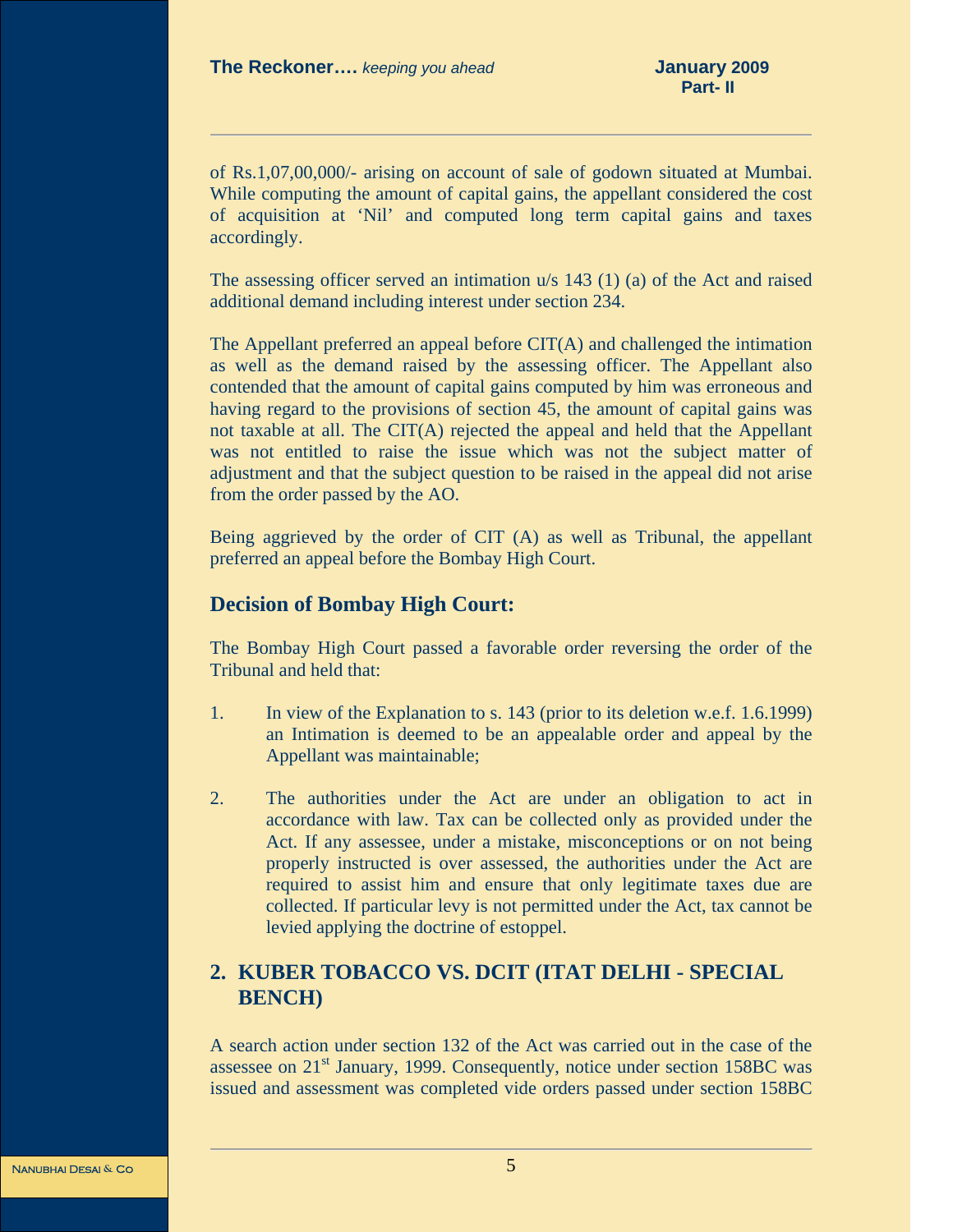of Rs.1,07,00,000/- arising on account of sale of godown situated at Mumbai. While computing the amount of capital gains, the appellant considered the cost of acquisition at 'Nil' and computed long term capital gains and taxes accordingly.

The assessing officer served an intimation u/s 143 (1) (a) of the Act and raised additional demand including interest under section 234.

The Appellant preferred an appeal before CIT(A) and challenged the intimation as well as the demand raised by the assessing officer. The Appellant also contended that the amount of capital gains computed by him was erroneous and having regard to the provisions of section 45, the amount of capital gains was not taxable at all. The CIT(A) rejected the appeal and held that the Appellant was not entitled to raise the issue which was not the subject matter of adjustment and that the subject question to be raised in the appeal did not arise from the order passed by the AO.

Being aggrieved by the order of CIT (A) as well as Tribunal, the appellant preferred an appeal before the Bombay High Court.

### **Decision of Bombay High Court:**

The Bombay High Court passed a favorable order reversing the order of the Tribunal and held that:

- 1. In view of the Explanation to s. 143 (prior to its deletion w.e.f. 1.6.1999) an Intimation is deemed to be an appealable order and appeal by the Appellant was maintainable;
- 2. The authorities under the Act are under an obligation to act in accordance with law. Tax can be collected only as provided under the Act. If any assessee, under a mistake, misconceptions or on not being properly instructed is over assessed, the authorities under the Act are required to assist him and ensure that only legitimate taxes due are collected. If particular levy is not permitted under the Act, tax cannot be levied applying the doctrine of estoppel.

### **2. KUBER TOBACCO VS. DCIT (ITAT DELHI - SPECIAL BENCH)**

A search action under section 132 of the Act was carried out in the case of the assessee on 21st January, 1999. Consequently, notice under section 158BC was issued and assessment was completed vide orders passed under section 158BC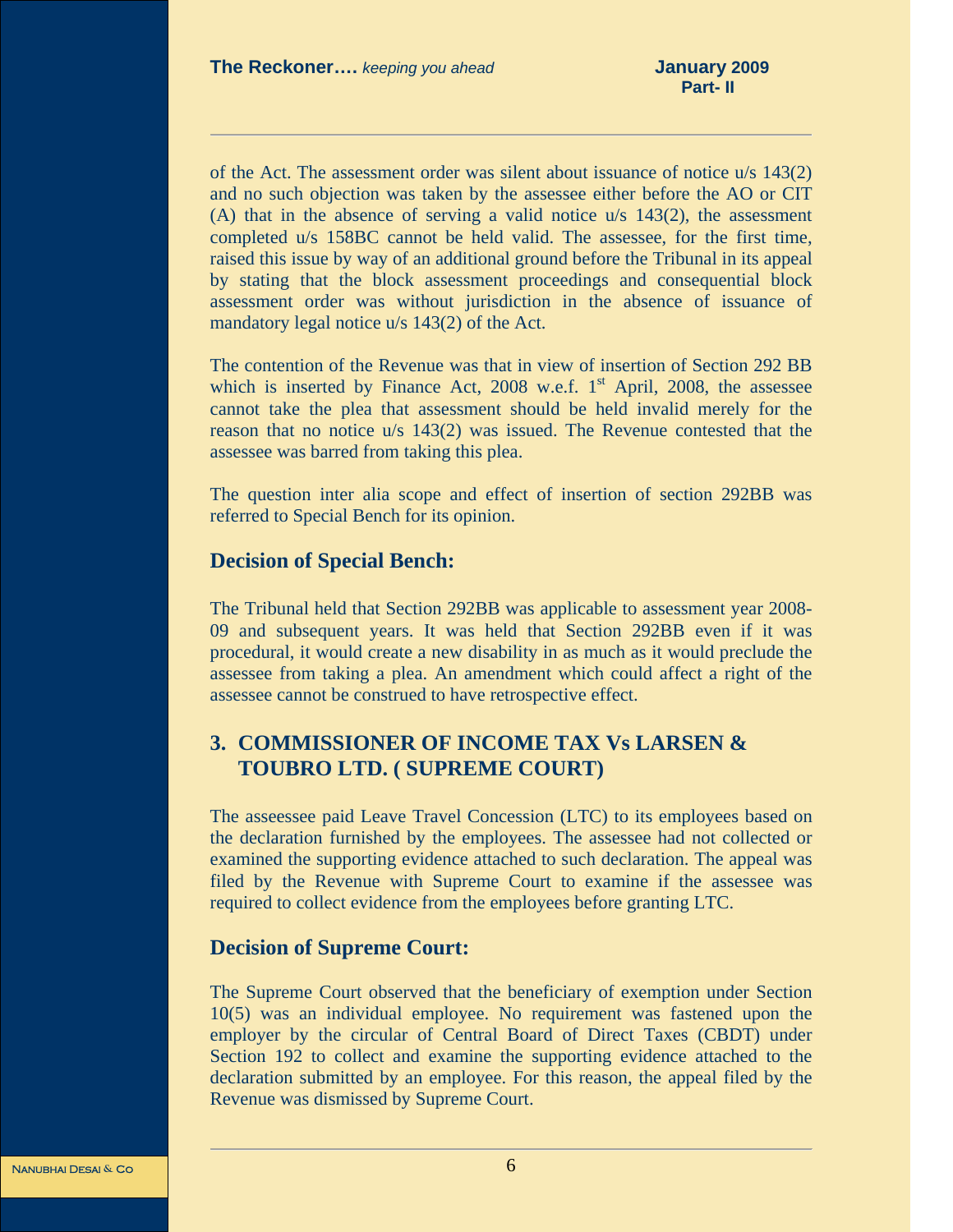of the Act. The assessment order was silent about issuance of notice u/s 143(2) and no such objection was taken by the assessee either before the AO or CIT (A) that in the absence of serving a valid notice u/s 143(2), the assessment completed u/s 158BC cannot be held valid. The assessee, for the first time, raised this issue by way of an additional ground before the Tribunal in its appeal by stating that the block assessment proceedings and consequential block assessment order was without jurisdiction in the absence of issuance of mandatory legal notice u/s 143(2) of the Act.

The contention of the Revenue was that in view of insertion of Section 292 BB which is inserted by Finance Act,  $2008$  w.e.f.  $1<sup>st</sup>$  April,  $2008$ , the assessee cannot take the plea that assessment should be held invalid merely for the reason that no notice u/s 143(2) was issued. The Revenue contested that the assessee was barred from taking this plea.

The question inter alia scope and effect of insertion of section 292BB was referred to Special Bench for its opinion.

### **Decision of Special Bench:**

The Tribunal held that Section 292BB was applicable to assessment year 2008- 09 and subsequent years. It was held that Section 292BB even if it was procedural, it would create a new disability in as much as it would preclude the assessee from taking a plea. An amendment which could affect a right of the assessee cannot be construed to have retrospective effect.

### **3. COMMISSIONER OF INCOME TAX Vs LARSEN & TOUBRO LTD. ( SUPREME COURT)**

The asseessee paid Leave Travel Concession (LTC) to its employees based on the declaration furnished by the employees. The assessee had not collected or examined the supporting evidence attached to such declaration. The appeal was filed by the Revenue with Supreme Court to examine if the assessee was required to collect evidence from the employees before granting LTC.

### **Decision of Supreme Court:**

The Supreme Court observed that the beneficiary of exemption under Section 10(5) was an individual employee. No requirement was fastened upon the employer by the circular of Central Board of Direct Taxes (CBDT) under Section 192 to collect and examine the supporting evidence attached to the declaration submitted by an employee. For this reason, the appeal filed by the Revenue was dismissed by Supreme Court.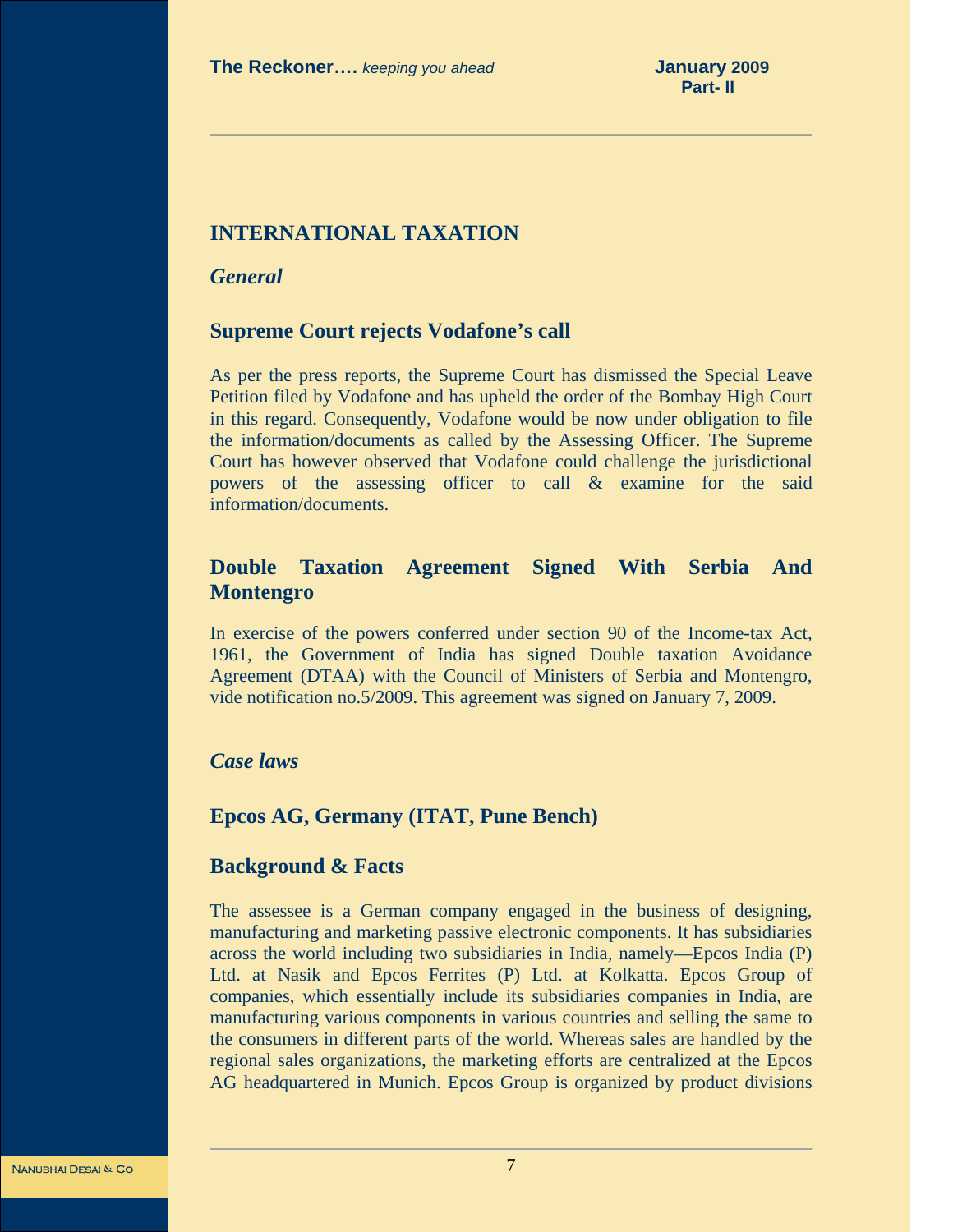### **INTERNATIONAL TAXATION**

*General* 

### **Supreme Court rejects Vodafone's call**

As per the press reports, the Supreme Court has dismissed the Special Leave Petition filed by Vodafone and has upheld the order of the Bombay High Court in this regard. Consequently, Vodafone would be now under obligation to file the information/documents as called by the Assessing Officer. The Supreme Court has however observed that Vodafone could challenge the jurisdictional powers of the assessing officer to call & examine for the said information/documents.

### **Double Taxation Agreement Signed With Serbia And Montengro**

In exercise of the powers conferred under section 90 of the Income-tax Act, 1961, the Government of India has signed Double taxation Avoidance Agreement (DTAA) with the Council of Ministers of Serbia and Montengro, vide notification no.5/2009. This agreement was signed on January 7, 2009.

### *Case laws*

### **Epcos AG, Germany (ITAT, Pune Bench)**

### **Background & Facts**

The assessee is a German company engaged in the business of designing, manufacturing and marketing passive electronic components. It has subsidiaries across the world including two subsidiaries in India, namely—Epcos India (P) Ltd. at Nasik and Epcos Ferrites (P) Ltd. at Kolkatta. Epcos Group of companies, which essentially include its subsidiaries companies in India, are manufacturing various components in various countries and selling the same to the consumers in different parts of the world. Whereas sales are handled by the regional sales organizations, the marketing efforts are centralized at the Epcos AG headquartered in Munich. Epcos Group is organized by product divisions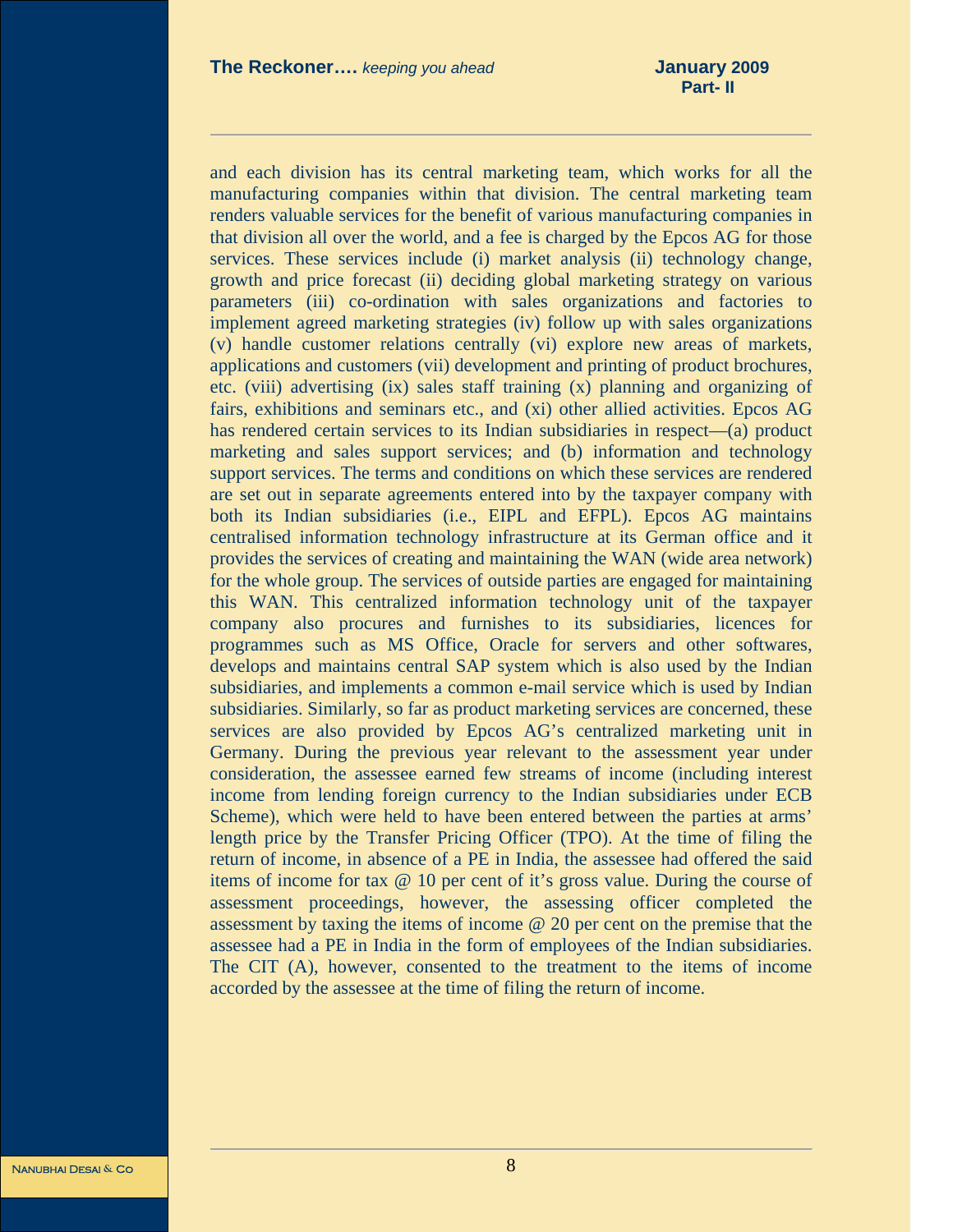and each division has its central marketing team, which works for all the manufacturing companies within that division. The central marketing team renders valuable services for the benefit of various manufacturing companies in that division all over the world, and a fee is charged by the Epcos AG for those services. These services include (i) market analysis (ii) technology change, growth and price forecast (ii) deciding global marketing strategy on various parameters (iii) co-ordination with sales organizations and factories to implement agreed marketing strategies (iv) follow up with sales organizations (v) handle customer relations centrally (vi) explore new areas of markets, applications and customers (vii) development and printing of product brochures, etc. (viii) advertising (ix) sales staff training (x) planning and organizing of fairs, exhibitions and seminars etc., and (xi) other allied activities. Epcos AG has rendered certain services to its Indian subsidiaries in respect—(a) product marketing and sales support services; and (b) information and technology support services. The terms and conditions on which these services are rendered are set out in separate agreements entered into by the taxpayer company with both its Indian subsidiaries (i.e., EIPL and EFPL). Epcos AG maintains centralised information technology infrastructure at its German office and it provides the services of creating and maintaining the WAN (wide area network) for the whole group. The services of outside parties are engaged for maintaining this WAN. This centralized information technology unit of the taxpayer company also procures and furnishes to its subsidiaries, licences for programmes such as MS Office, Oracle for servers and other softwares, develops and maintains central SAP system which is also used by the Indian subsidiaries, and implements a common e-mail service which is used by Indian subsidiaries. Similarly, so far as product marketing services are concerned, these services are also provided by Epcos AG's centralized marketing unit in Germany. During the previous year relevant to the assessment year under consideration, the assessee earned few streams of income (including interest income from lending foreign currency to the Indian subsidiaries under ECB Scheme), which were held to have been entered between the parties at arms' length price by the Transfer Pricing Officer (TPO). At the time of filing the return of income, in absence of a PE in India, the assessee had offered the said items of income for tax @ 10 per cent of it's gross value. During the course of assessment proceedings, however, the assessing officer completed the assessment by taxing the items of income @ 20 per cent on the premise that the assessee had a PE in India in the form of employees of the Indian subsidiaries. The CIT (A), however, consented to the treatment to the items of income accorded by the assessee at the time of filing the return of income.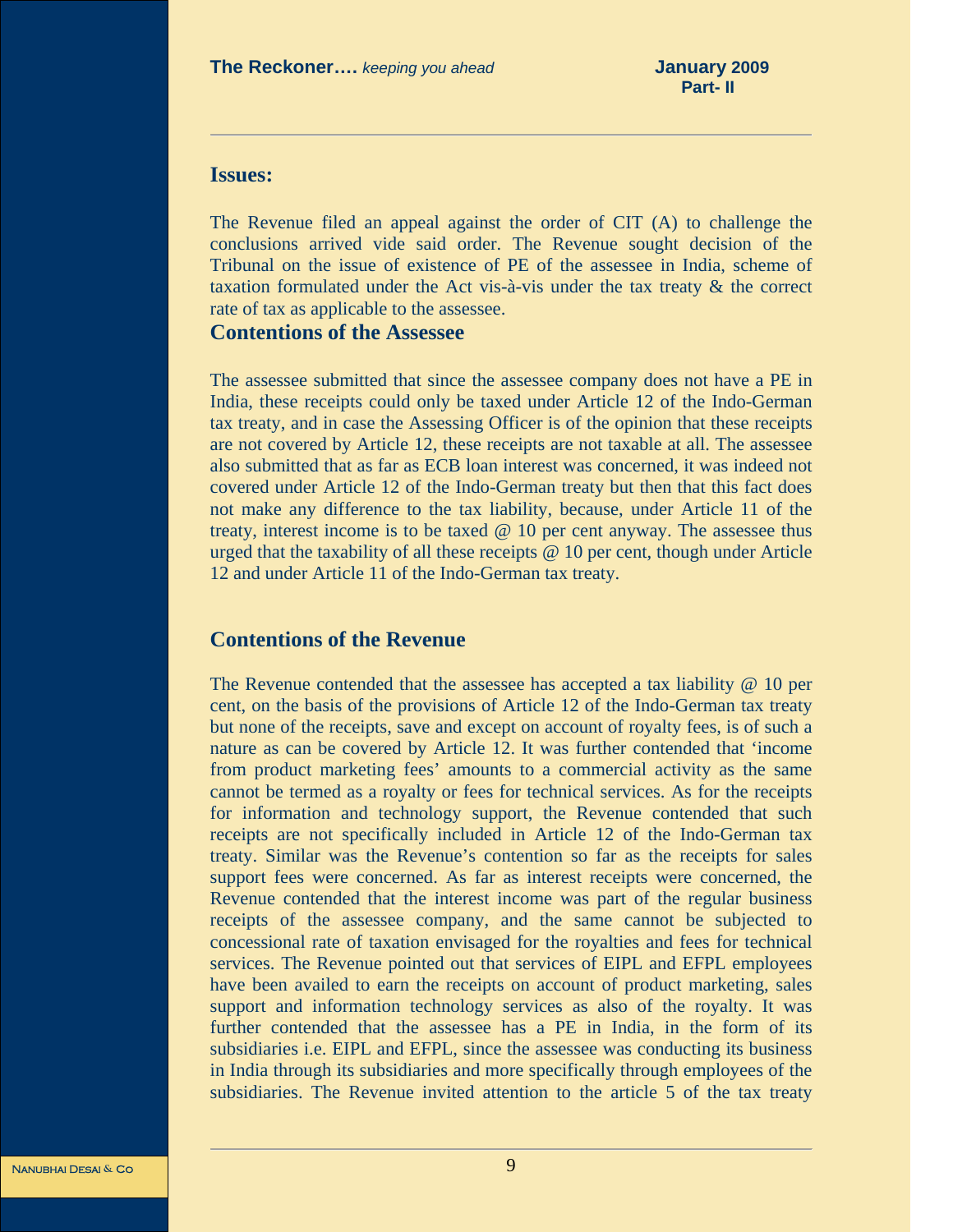### **Issues:**

The Revenue filed an appeal against the order of CIT (A) to challenge the conclusions arrived vide said order. The Revenue sought decision of the Tribunal on the issue of existence of PE of the assessee in India, scheme of taxation formulated under the Act vis-à-vis under the tax treaty & the correct rate of tax as applicable to the assessee.

### **Contentions of the Assessee**

The assessee submitted that since the assessee company does not have a PE in India, these receipts could only be taxed under Article 12 of the Indo-German tax treaty, and in case the Assessing Officer is of the opinion that these receipts are not covered by Article 12, these receipts are not taxable at all. The assessee also submitted that as far as ECB loan interest was concerned, it was indeed not covered under Article 12 of the Indo-German treaty but then that this fact does not make any difference to the tax liability, because, under Article 11 of the treaty, interest income is to be taxed @ 10 per cent anyway. The assessee thus urged that the taxability of all these receipts @ 10 per cent, though under Article 12 and under Article 11 of the Indo-German tax treaty.

### **Contentions of the Revenue**

The Revenue contended that the assessee has accepted a tax liability @ 10 per cent, on the basis of the provisions of Article 12 of the Indo-German tax treaty but none of the receipts, save and except on account of royalty fees, is of such a nature as can be covered by Article 12. It was further contended that 'income from product marketing fees' amounts to a commercial activity as the same cannot be termed as a royalty or fees for technical services. As for the receipts for information and technology support, the Revenue contended that such receipts are not specifically included in Article 12 of the Indo-German tax treaty. Similar was the Revenue's contention so far as the receipts for sales support fees were concerned. As far as interest receipts were concerned, the Revenue contended that the interest income was part of the regular business receipts of the assessee company, and the same cannot be subjected to concessional rate of taxation envisaged for the royalties and fees for technical services. The Revenue pointed out that services of EIPL and EFPL employees have been availed to earn the receipts on account of product marketing, sales support and information technology services as also of the royalty. It was further contended that the assessee has a PE in India, in the form of its subsidiaries i.e. EIPL and EFPL, since the assessee was conducting its business in India through its subsidiaries and more specifically through employees of the subsidiaries. The Revenue invited attention to the article 5 of the tax treaty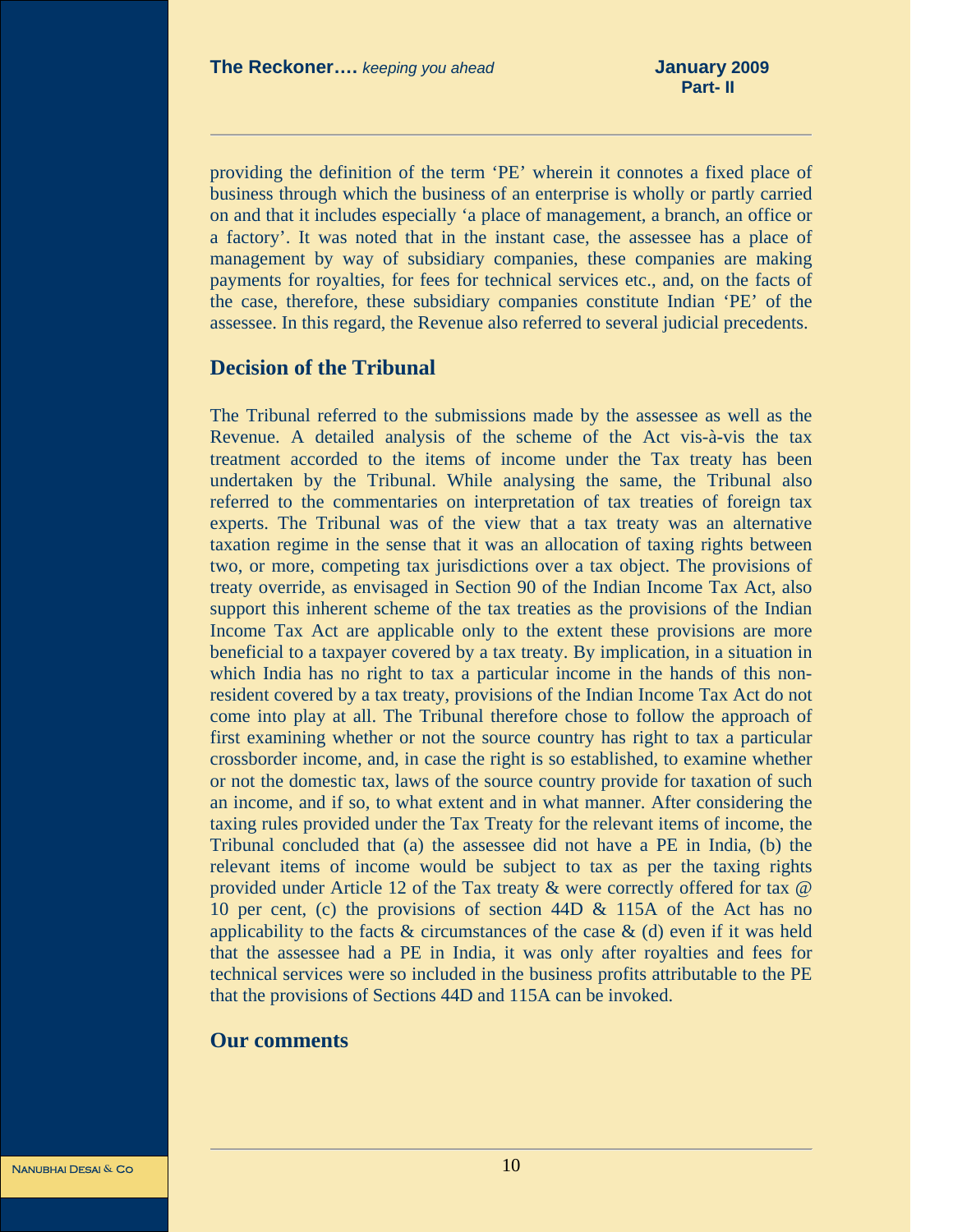providing the definition of the term 'PE' wherein it connotes a fixed place of business through which the business of an enterprise is wholly or partly carried on and that it includes especially 'a place of management, a branch, an office or a factory'. It was noted that in the instant case, the assessee has a place of management by way of subsidiary companies, these companies are making payments for royalties, for fees for technical services etc., and, on the facts of the case, therefore, these subsidiary companies constitute Indian 'PE' of the assessee. In this regard, the Revenue also referred to several judicial precedents.

### **Decision of the Tribunal**

The Tribunal referred to the submissions made by the assessee as well as the Revenue. A detailed analysis of the scheme of the Act vis-à-vis the tax treatment accorded to the items of income under the Tax treaty has been undertaken by the Tribunal. While analysing the same, the Tribunal also referred to the commentaries on interpretation of tax treaties of foreign tax experts. The Tribunal was of the view that a tax treaty was an alternative taxation regime in the sense that it was an allocation of taxing rights between two, or more, competing tax jurisdictions over a tax object. The provisions of treaty override, as envisaged in Section 90 of the Indian Income Tax Act, also support this inherent scheme of the tax treaties as the provisions of the Indian Income Tax Act are applicable only to the extent these provisions are more beneficial to a taxpayer covered by a tax treaty. By implication, in a situation in which India has no right to tax a particular income in the hands of this nonresident covered by a tax treaty, provisions of the Indian Income Tax Act do not come into play at all. The Tribunal therefore chose to follow the approach of first examining whether or not the source country has right to tax a particular crossborder income, and, in case the right is so established, to examine whether or not the domestic tax, laws of the source country provide for taxation of such an income, and if so, to what extent and in what manner. After considering the taxing rules provided under the Tax Treaty for the relevant items of income, the Tribunal concluded that (a) the assessee did not have a PE in India, (b) the relevant items of income would be subject to tax as per the taxing rights provided under Article 12 of the Tax treaty & were correctly offered for tax @ 10 per cent, (c) the provisions of section 44D & 115A of the Act has no applicability to the facts  $\&$  circumstances of the case  $\&$  (d) even if it was held that the assessee had a PE in India, it was only after royalties and fees for technical services were so included in the business profits attributable to the PE that the provisions of Sections 44D and 115A can be invoked.

### **Our comments**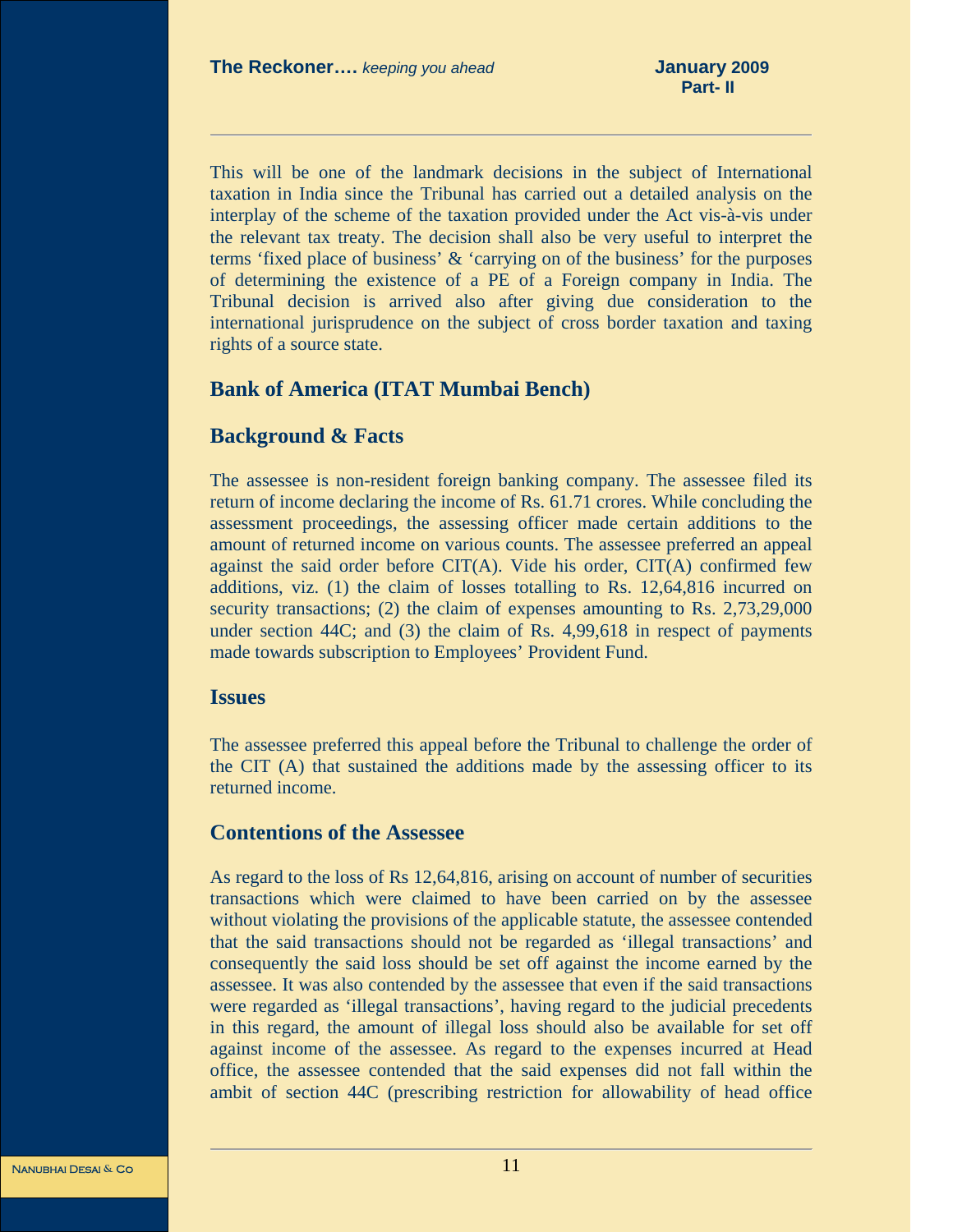This will be one of the landmark decisions in the subject of International taxation in India since the Tribunal has carried out a detailed analysis on the interplay of the scheme of the taxation provided under the Act vis-à-vis under the relevant tax treaty. The decision shall also be very useful to interpret the terms 'fixed place of business' & 'carrying on of the business' for the purposes of determining the existence of a PE of a Foreign company in India. The Tribunal decision is arrived also after giving due consideration to the international jurisprudence on the subject of cross border taxation and taxing rights of a source state.

### **Bank of America (ITAT Mumbai Bench)**

### **Background & Facts**

The assessee is non-resident foreign banking company. The assessee filed its return of income declaring the income of Rs. 61.71 crores. While concluding the assessment proceedings, the assessing officer made certain additions to the amount of returned income on various counts. The assessee preferred an appeal against the said order before CIT(A). Vide his order, CIT(A) confirmed few additions, viz. (1) the claim of losses totalling to Rs. 12,64,816 incurred on security transactions; (2) the claim of expenses amounting to Rs. 2,73,29,000 under section 44C; and (3) the claim of Rs. 4,99,618 in respect of payments made towards subscription to Employees' Provident Fund.

### **Issues**

The assessee preferred this appeal before the Tribunal to challenge the order of the CIT (A) that sustained the additions made by the assessing officer to its returned income.

### **Contentions of the Assessee**

As regard to the loss of Rs 12,64,816, arising on account of number of securities transactions which were claimed to have been carried on by the assessee without violating the provisions of the applicable statute, the assessee contended that the said transactions should not be regarded as 'illegal transactions' and consequently the said loss should be set off against the income earned by the assessee. It was also contended by the assessee that even if the said transactions were regarded as 'illegal transactions', having regard to the judicial precedents in this regard, the amount of illegal loss should also be available for set off against income of the assessee. As regard to the expenses incurred at Head office, the assessee contended that the said expenses did not fall within the ambit of section 44C (prescribing restriction for allowability of head office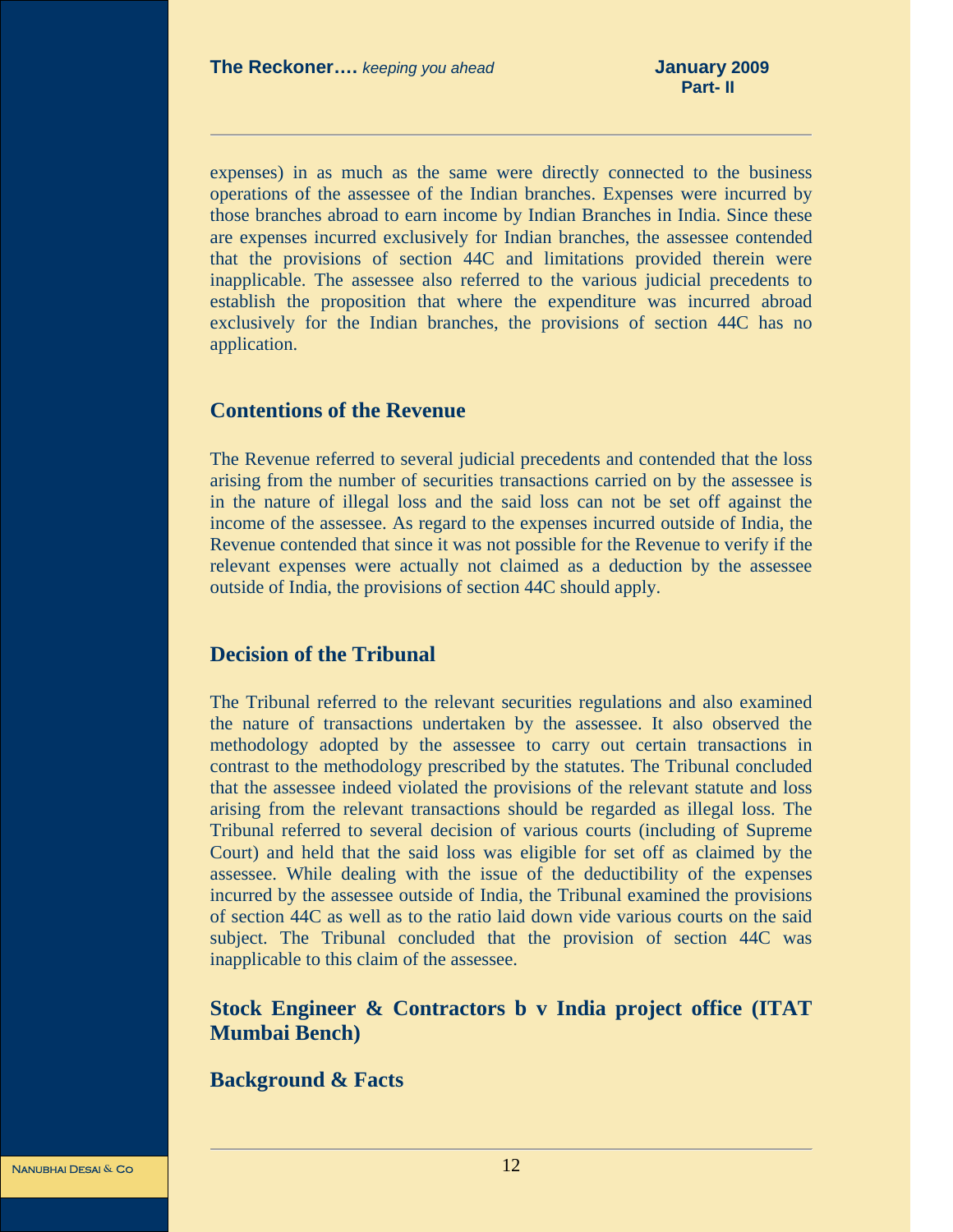expenses) in as much as the same were directly connected to the business operations of the assessee of the Indian branches. Expenses were incurred by those branches abroad to earn income by Indian Branches in India. Since these are expenses incurred exclusively for Indian branches, the assessee contended that the provisions of section 44C and limitations provided therein were inapplicable. The assessee also referred to the various judicial precedents to establish the proposition that where the expenditure was incurred abroad exclusively for the Indian branches, the provisions of section 44C has no application.

### **Contentions of the Revenue**

The Revenue referred to several judicial precedents and contended that the loss arising from the number of securities transactions carried on by the assessee is in the nature of illegal loss and the said loss can not be set off against the income of the assessee. As regard to the expenses incurred outside of India, the Revenue contended that since it was not possible for the Revenue to verify if the relevant expenses were actually not claimed as a deduction by the assessee outside of India, the provisions of section 44C should apply.

### **Decision of the Tribunal**

The Tribunal referred to the relevant securities regulations and also examined the nature of transactions undertaken by the assessee. It also observed the methodology adopted by the assessee to carry out certain transactions in contrast to the methodology prescribed by the statutes. The Tribunal concluded that the assessee indeed violated the provisions of the relevant statute and loss arising from the relevant transactions should be regarded as illegal loss. The Tribunal referred to several decision of various courts (including of Supreme Court) and held that the said loss was eligible for set off as claimed by the assessee. While dealing with the issue of the deductibility of the expenses incurred by the assessee outside of India, the Tribunal examined the provisions of section 44C as well as to the ratio laid down vide various courts on the said subject. The Tribunal concluded that the provision of section 44C was inapplicable to this claim of the assessee.

### **Stock Engineer & Contractors b v India project office (ITAT Mumbai Bench)**

### **Background & Facts**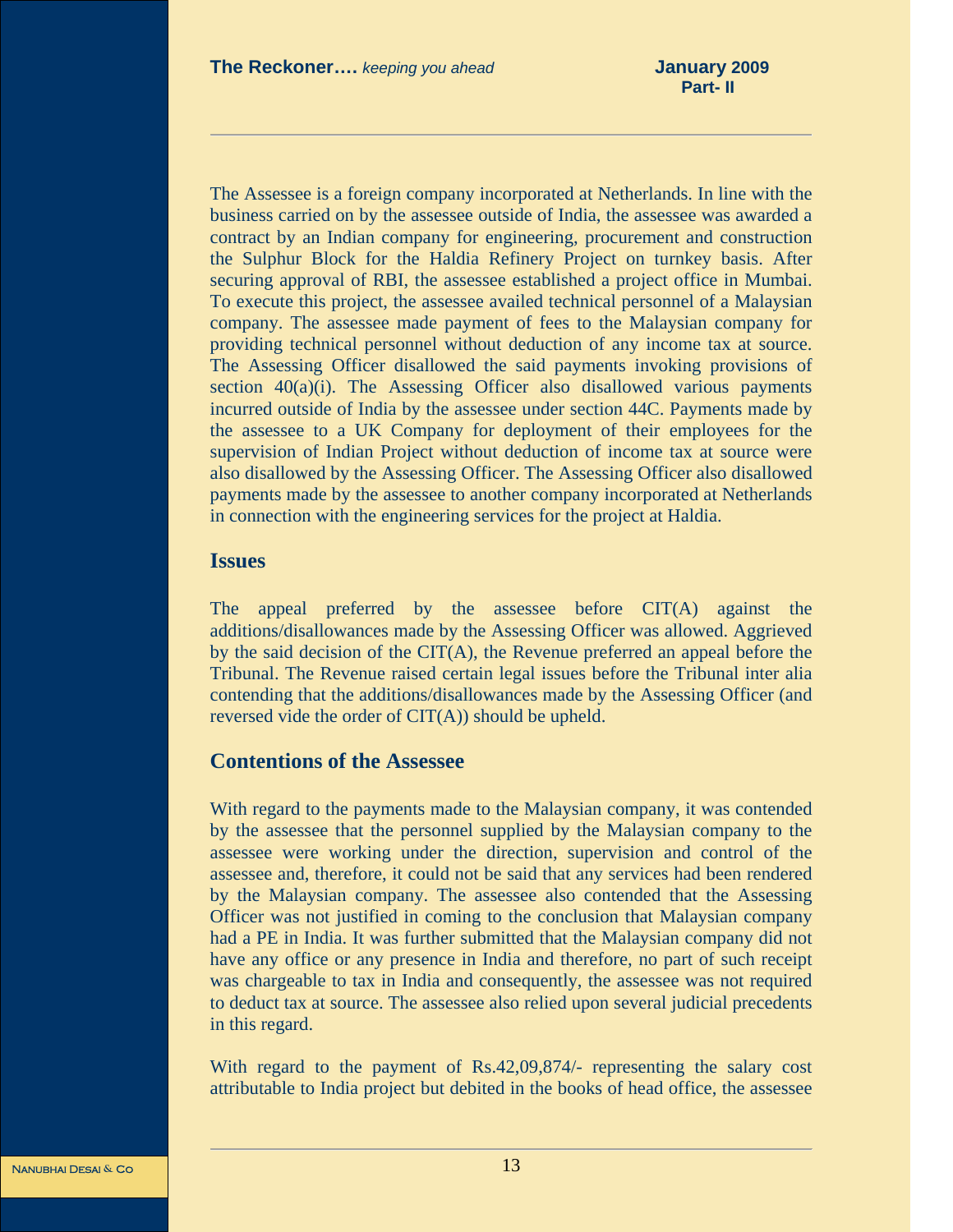The Assessee is a foreign company incorporated at Netherlands. In line with the business carried on by the assessee outside of India, the assessee was awarded a contract by an Indian company for engineering, procurement and construction the Sulphur Block for the Haldia Refinery Project on turnkey basis. After securing approval of RBI, the assessee established a project office in Mumbai. To execute this project, the assessee availed technical personnel of a Malaysian company. The assessee made payment of fees to the Malaysian company for providing technical personnel without deduction of any income tax at source. The Assessing Officer disallowed the said payments invoking provisions of section  $40(a)(i)$ . The Assessing Officer also disallowed various payments incurred outside of India by the assessee under section 44C. Payments made by the assessee to a UK Company for deployment of their employees for the supervision of Indian Project without deduction of income tax at source were also disallowed by the Assessing Officer. The Assessing Officer also disallowed payments made by the assessee to another company incorporated at Netherlands in connection with the engineering services for the project at Haldia.

### **Issues**

The appeal preferred by the assessee before CIT(A) against the additions/disallowances made by the Assessing Officer was allowed. Aggrieved by the said decision of the CIT(A), the Revenue preferred an appeal before the Tribunal. The Revenue raised certain legal issues before the Tribunal inter alia contending that the additions/disallowances made by the Assessing Officer (and reversed vide the order of CIT(A)) should be upheld.

### **Contentions of the Assessee**

With regard to the payments made to the Malaysian company, it was contended by the assessee that the personnel supplied by the Malaysian company to the assessee were working under the direction, supervision and control of the assessee and, therefore, it could not be said that any services had been rendered by the Malaysian company. The assessee also contended that the Assessing Officer was not justified in coming to the conclusion that Malaysian company had a PE in India. It was further submitted that the Malaysian company did not have any office or any presence in India and therefore, no part of such receipt was chargeable to tax in India and consequently, the assessee was not required to deduct tax at source. The assessee also relied upon several judicial precedents in this regard.

With regard to the payment of Rs.42,09,874/- representing the salary cost attributable to India project but debited in the books of head office, the assessee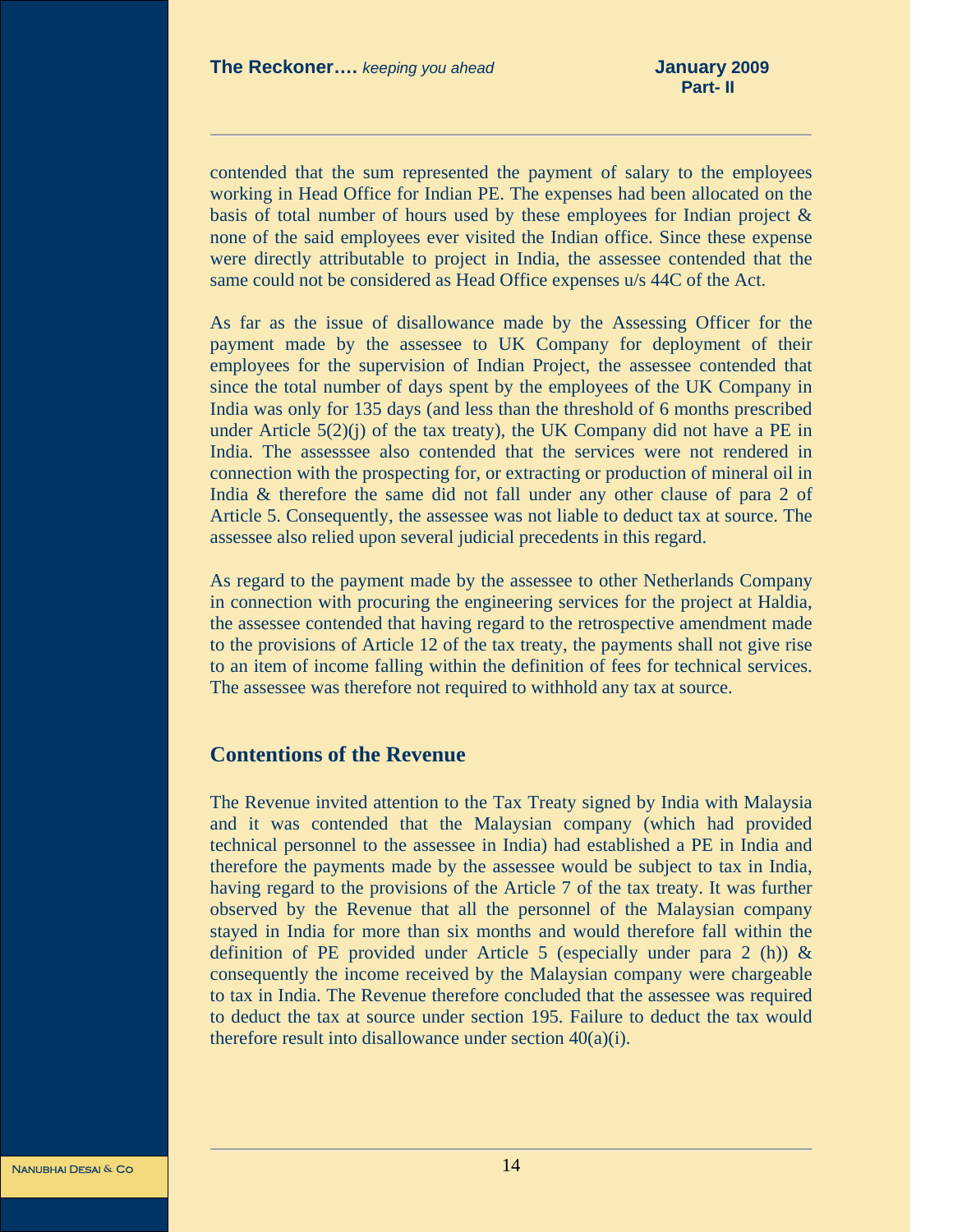contended that the sum represented the payment of salary to the employees working in Head Office for Indian PE. The expenses had been allocated on the basis of total number of hours used by these employees for Indian project  $\&$ none of the said employees ever visited the Indian office. Since these expense were directly attributable to project in India, the assessee contended that the same could not be considered as Head Office expenses u/s 44C of the Act.

As far as the issue of disallowance made by the Assessing Officer for the payment made by the assessee to UK Company for deployment of their employees for the supervision of Indian Project, the assessee contended that since the total number of days spent by the employees of the UK Company in India was only for 135 days (and less than the threshold of 6 months prescribed under Article  $5(2)(i)$  of the tax treaty), the UK Company did not have a PE in India. The assesssee also contended that the services were not rendered in connection with the prospecting for, or extracting or production of mineral oil in India & therefore the same did not fall under any other clause of para 2 of Article 5. Consequently, the assessee was not liable to deduct tax at source. The assessee also relied upon several judicial precedents in this regard.

As regard to the payment made by the assessee to other Netherlands Company in connection with procuring the engineering services for the project at Haldia, the assessee contended that having regard to the retrospective amendment made to the provisions of Article 12 of the tax treaty, the payments shall not give rise to an item of income falling within the definition of fees for technical services. The assessee was therefore not required to withhold any tax at source.

### **Contentions of the Revenue**

The Revenue invited attention to the Tax Treaty signed by India with Malaysia and it was contended that the Malaysian company (which had provided technical personnel to the assessee in India) had established a PE in India and therefore the payments made by the assessee would be subject to tax in India, having regard to the provisions of the Article 7 of the tax treaty. It was further observed by the Revenue that all the personnel of the Malaysian company stayed in India for more than six months and would therefore fall within the definition of PE provided under Article 5 (especially under para 2 (h))  $\&$ consequently the income received by the Malaysian company were chargeable to tax in India. The Revenue therefore concluded that the assessee was required to deduct the tax at source under section 195. Failure to deduct the tax would therefore result into disallowance under section 40(a)(i).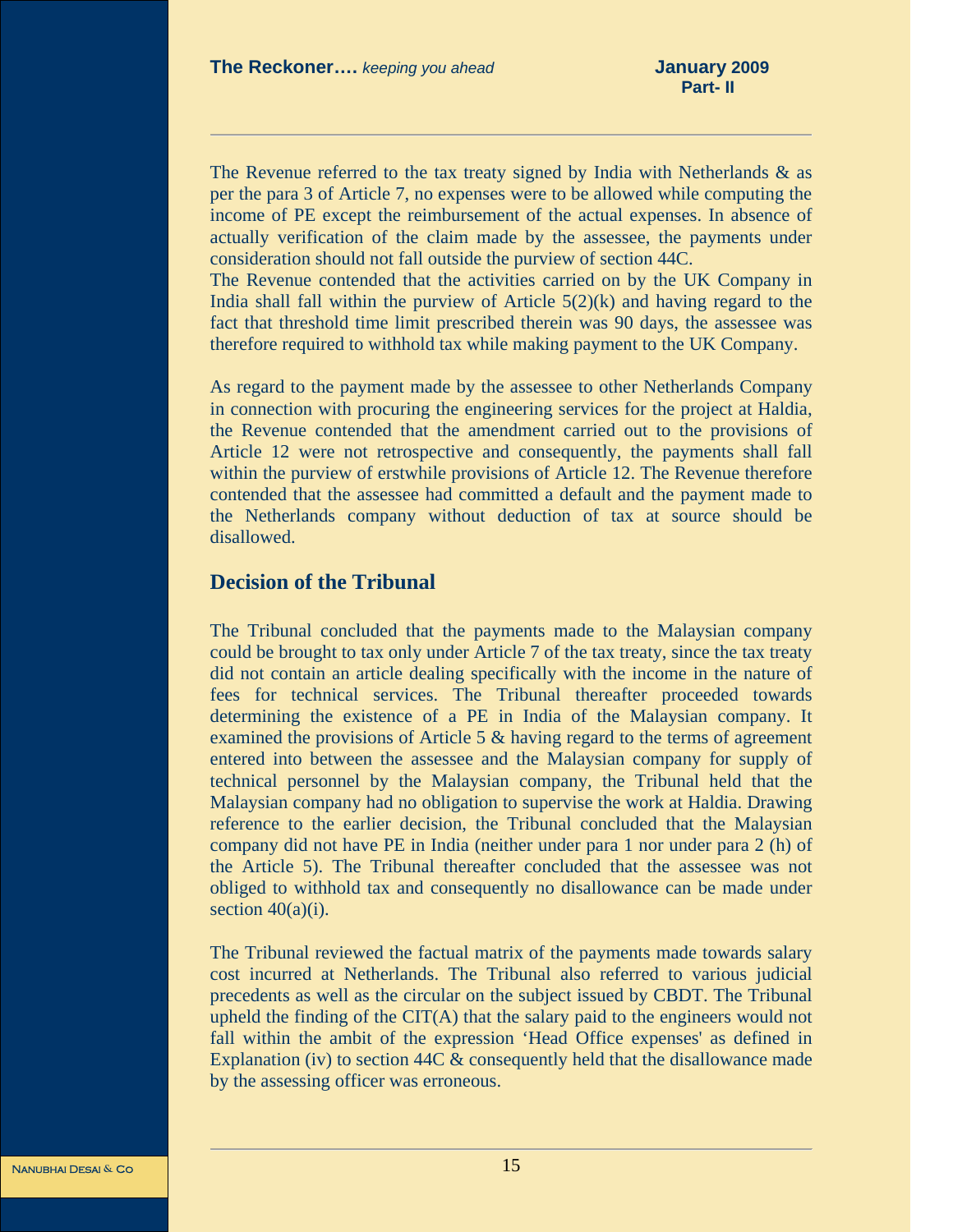The Revenue referred to the tax treaty signed by India with Netherlands  $\&$  as per the para 3 of Article 7, no expenses were to be allowed while computing the income of PE except the reimbursement of the actual expenses. In absence of actually verification of the claim made by the assessee, the payments under consideration should not fall outside the purview of section 44C.

The Revenue contended that the activities carried on by the UK Company in India shall fall within the purview of Article  $5(2)(k)$  and having regard to the fact that threshold time limit prescribed therein was 90 days, the assessee was therefore required to withhold tax while making payment to the UK Company.

As regard to the payment made by the assessee to other Netherlands Company in connection with procuring the engineering services for the project at Haldia, the Revenue contended that the amendment carried out to the provisions of Article 12 were not retrospective and consequently, the payments shall fall within the purview of erstwhile provisions of Article 12. The Revenue therefore contended that the assessee had committed a default and the payment made to the Netherlands company without deduction of tax at source should be disallowed.

### **Decision of the Tribunal**

The Tribunal concluded that the payments made to the Malaysian company could be brought to tax only under Article 7 of the tax treaty, since the tax treaty did not contain an article dealing specifically with the income in the nature of fees for technical services. The Tribunal thereafter proceeded towards determining the existence of a PE in India of the Malaysian company. It examined the provisions of Article 5 & having regard to the terms of agreement entered into between the assessee and the Malaysian company for supply of technical personnel by the Malaysian company, the Tribunal held that the Malaysian company had no obligation to supervise the work at Haldia. Drawing reference to the earlier decision, the Tribunal concluded that the Malaysian company did not have PE in India (neither under para 1 nor under para 2 (h) of the Article 5). The Tribunal thereafter concluded that the assessee was not obliged to withhold tax and consequently no disallowance can be made under section  $40(a)(i)$ .

The Tribunal reviewed the factual matrix of the payments made towards salary cost incurred at Netherlands. The Tribunal also referred to various judicial precedents as well as the circular on the subject issued by CBDT. The Tribunal upheld the finding of the CIT(A) that the salary paid to the engineers would not fall within the ambit of the expression 'Head Office expenses' as defined in Explanation (iv) to section 44C & consequently held that the disallowance made by the assessing officer was erroneous.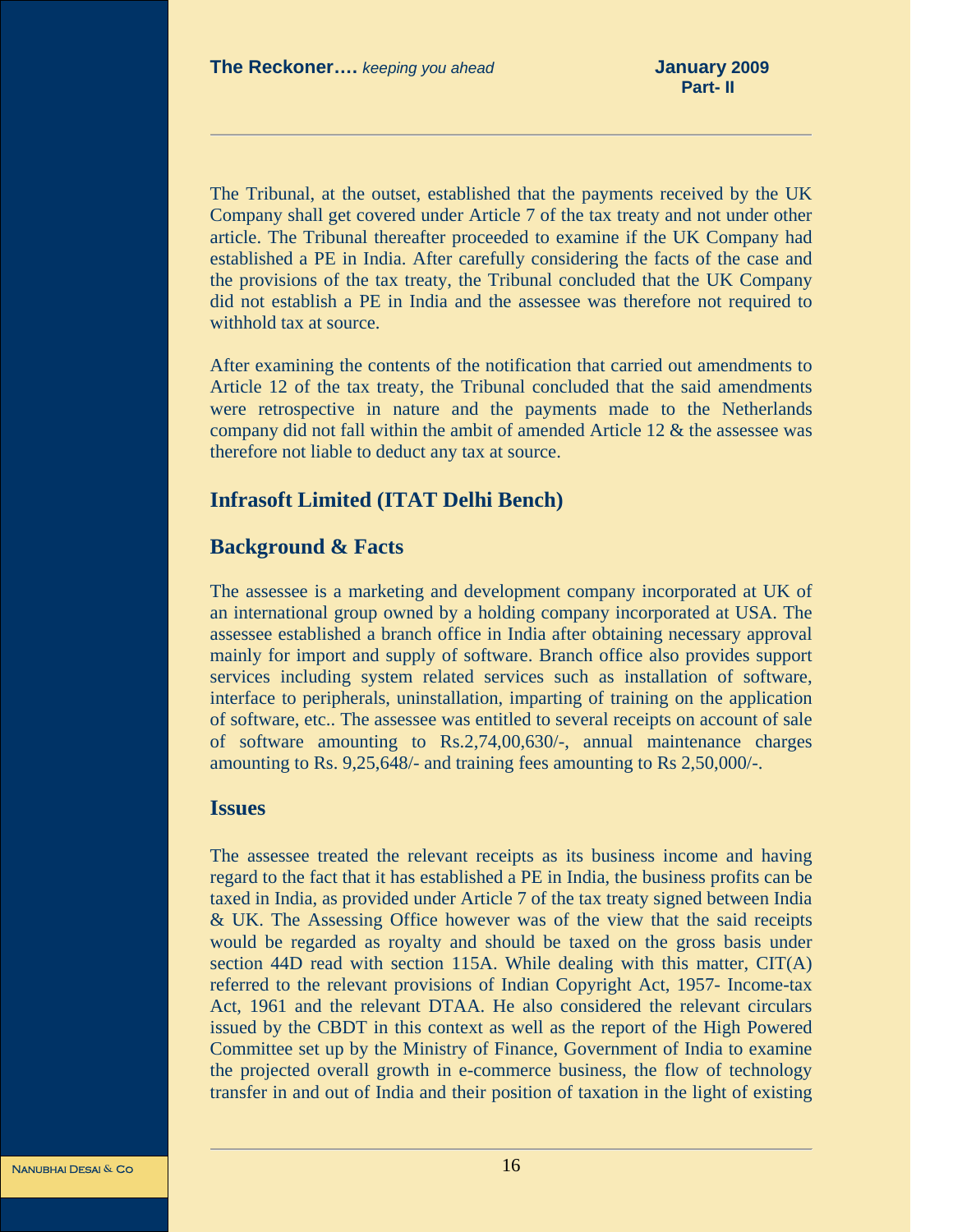The Tribunal, at the outset, established that the payments received by the UK Company shall get covered under Article 7 of the tax treaty and not under other article. The Tribunal thereafter proceeded to examine if the UK Company had established a PE in India. After carefully considering the facts of the case and the provisions of the tax treaty, the Tribunal concluded that the UK Company did not establish a PE in India and the assessee was therefore not required to withhold tax at source.

After examining the contents of the notification that carried out amendments to Article 12 of the tax treaty, the Tribunal concluded that the said amendments were retrospective in nature and the payments made to the Netherlands company did not fall within the ambit of amended Article 12 & the assessee was therefore not liable to deduct any tax at source.

### **Infrasoft Limited (ITAT Delhi Bench)**

### **Background & Facts**

The assessee is a marketing and development company incorporated at UK of an international group owned by a holding company incorporated at USA. The assessee established a branch office in India after obtaining necessary approval mainly for import and supply of software. Branch office also provides support services including system related services such as installation of software, interface to peripherals, uninstallation, imparting of training on the application of software, etc.. The assessee was entitled to several receipts on account of sale of software amounting to Rs.2,74,00,630/-, annual maintenance charges amounting to Rs. 9,25,648/- and training fees amounting to Rs 2,50,000/-.

### **Issues**

The assessee treated the relevant receipts as its business income and having regard to the fact that it has established a PE in India, the business profits can be taxed in India, as provided under Article 7 of the tax treaty signed between India & UK. The Assessing Office however was of the view that the said receipts would be regarded as royalty and should be taxed on the gross basis under section 44D read with section 115A. While dealing with this matter,  $CIT(A)$ referred to the relevant provisions of Indian Copyright Act, 1957- Income-tax Act, 1961 and the relevant DTAA. He also considered the relevant circulars issued by the CBDT in this context as well as the report of the High Powered Committee set up by the Ministry of Finance, Government of India to examine the projected overall growth in e-commerce business, the flow of technology transfer in and out of India and their position of taxation in the light of existing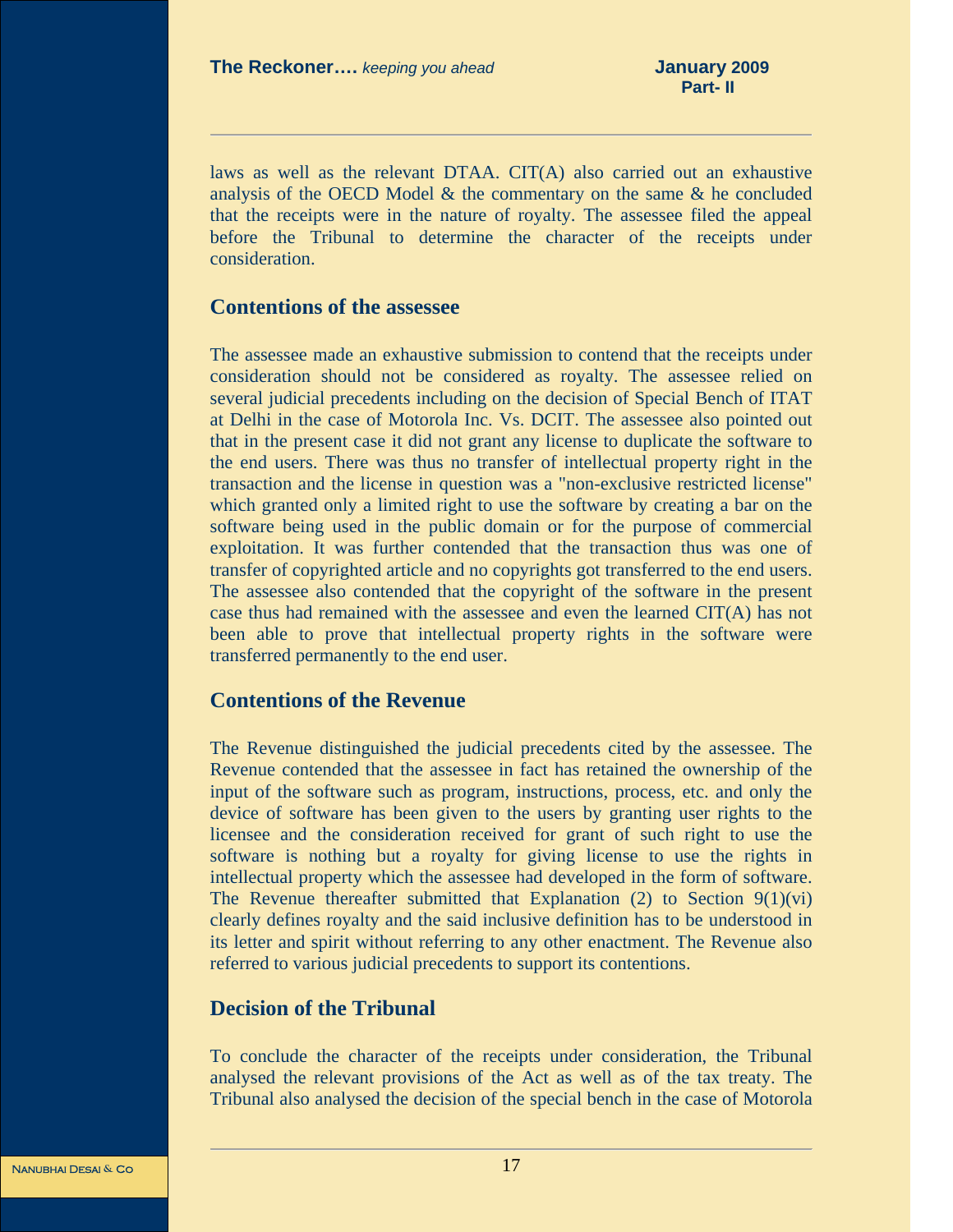laws as well as the relevant DTAA. CIT(A) also carried out an exhaustive analysis of the OECD Model & the commentary on the same & he concluded that the receipts were in the nature of royalty. The assessee filed the appeal before the Tribunal to determine the character of the receipts under consideration.

### **Contentions of the assessee**

The assessee made an exhaustive submission to contend that the receipts under consideration should not be considered as royalty. The assessee relied on several judicial precedents including on the decision of Special Bench of ITAT at Delhi in the case of Motorola Inc. Vs. DCIT. The assessee also pointed out that in the present case it did not grant any license to duplicate the software to the end users. There was thus no transfer of intellectual property right in the transaction and the license in question was a "non-exclusive restricted license" which granted only a limited right to use the software by creating a bar on the software being used in the public domain or for the purpose of commercial exploitation. It was further contended that the transaction thus was one of transfer of copyrighted article and no copyrights got transferred to the end users. The assessee also contended that the copyright of the software in the present case thus had remained with the assessee and even the learned CIT(A) has not been able to prove that intellectual property rights in the software were transferred permanently to the end user.

### **Contentions of the Revenue**

The Revenue distinguished the judicial precedents cited by the assessee. The Revenue contended that the assessee in fact has retained the ownership of the input of the software such as program, instructions, process, etc. and only the device of software has been given to the users by granting user rights to the licensee and the consideration received for grant of such right to use the software is nothing but a royalty for giving license to use the rights in intellectual property which the assessee had developed in the form of software. The Revenue thereafter submitted that Explanation  $(2)$  to Section  $9(1)(vi)$ clearly defines royalty and the said inclusive definition has to be understood in its letter and spirit without referring to any other enactment. The Revenue also referred to various judicial precedents to support its contentions.

### **Decision of the Tribunal**

To conclude the character of the receipts under consideration, the Tribunal analysed the relevant provisions of the Act as well as of the tax treaty. The Tribunal also analysed the decision of the special bench in the case of Motorola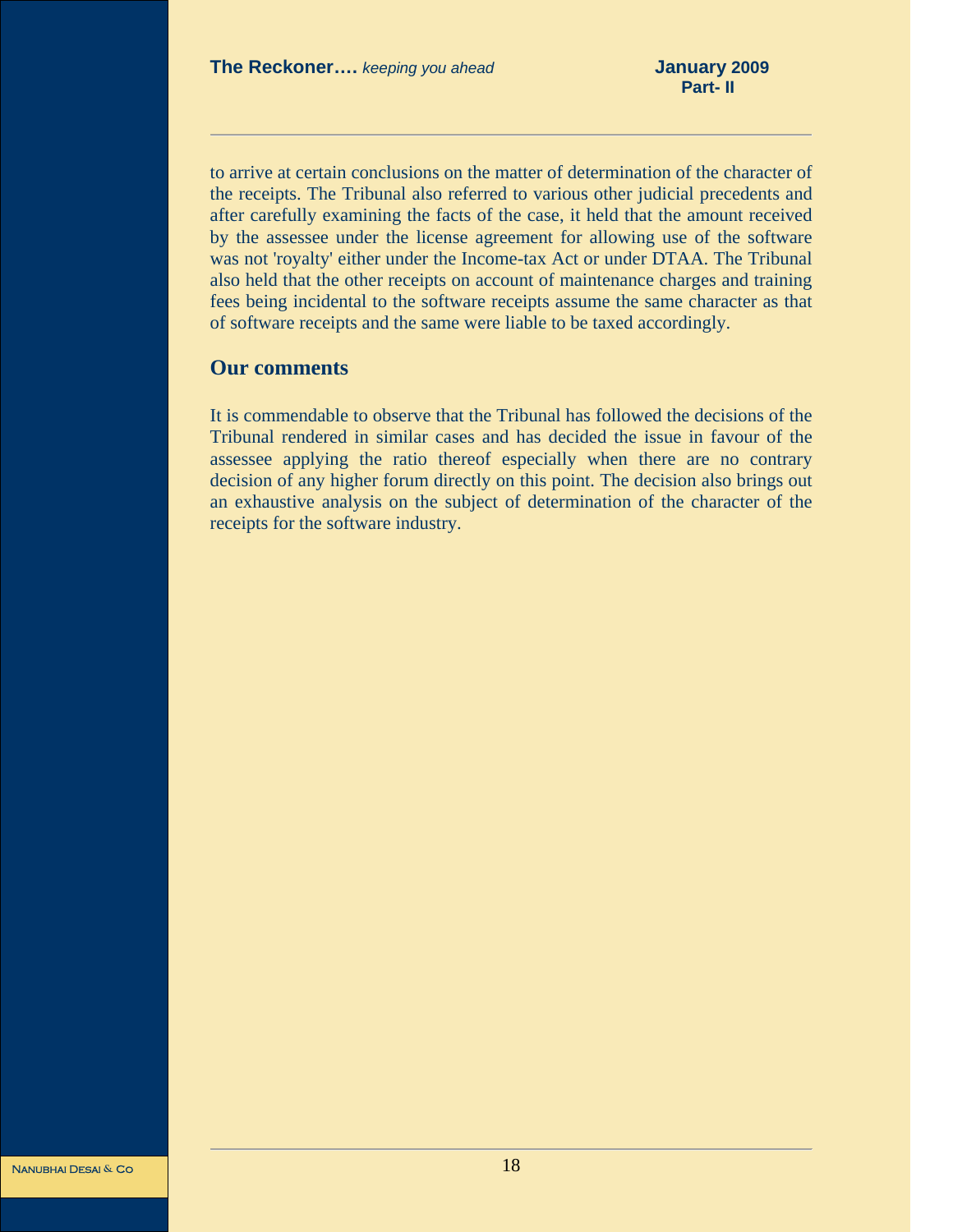to arrive at certain conclusions on the matter of determination of the character of the receipts. The Tribunal also referred to various other judicial precedents and after carefully examining the facts of the case, it held that the amount received by the assessee under the license agreement for allowing use of the software was not 'royalty' either under the Income-tax Act or under DTAA. The Tribunal also held that the other receipts on account of maintenance charges and training fees being incidental to the software receipts assume the same character as that of software receipts and the same were liable to be taxed accordingly.

### **Our comments**

It is commendable to observe that the Tribunal has followed the decisions of the Tribunal rendered in similar cases and has decided the issue in favour of the assessee applying the ratio thereof especially when there are no contrary decision of any higher forum directly on this point. The decision also brings out an exhaustive analysis on the subject of determination of the character of the receipts for the software industry.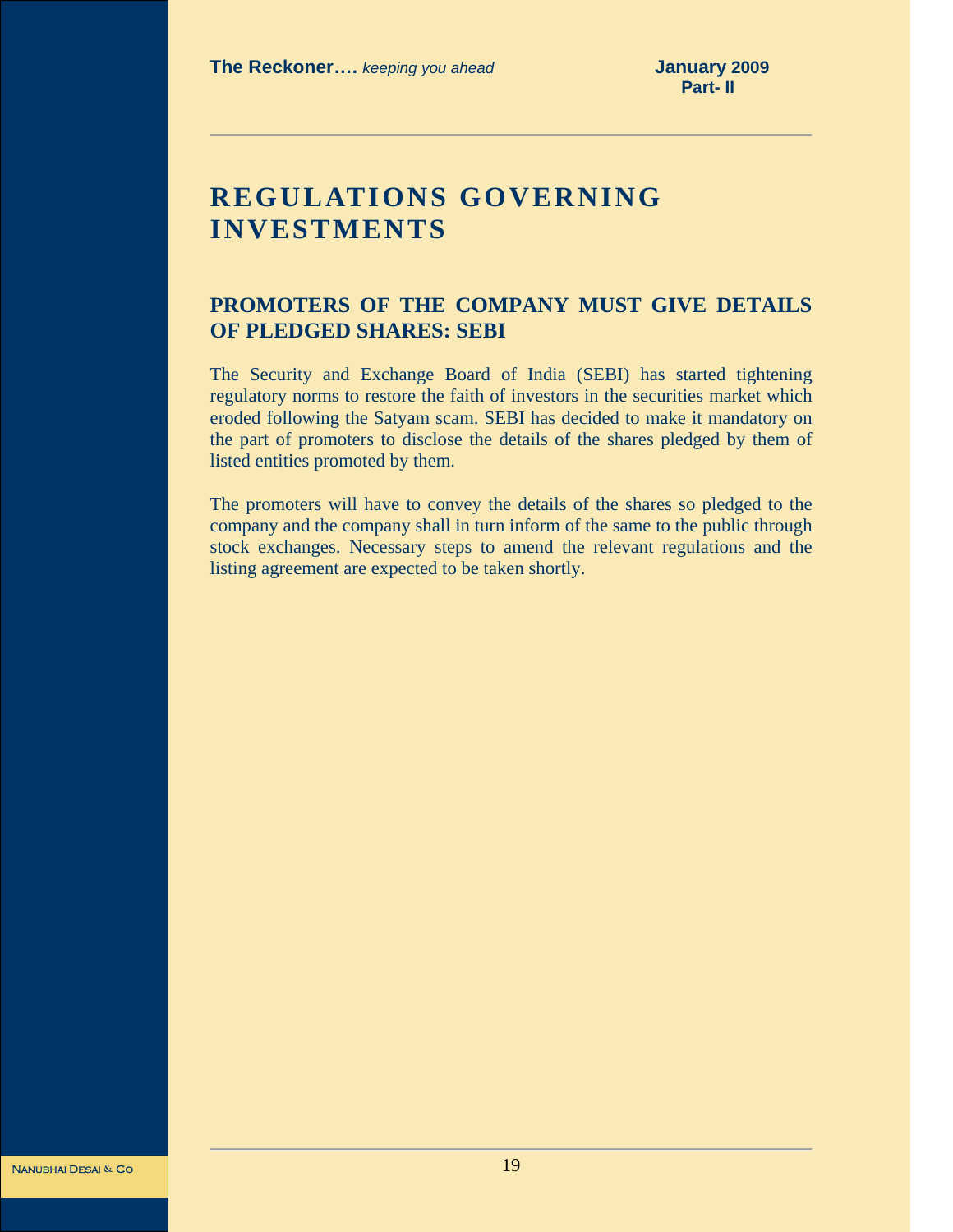# **REGULATIONS GOVERNING INVESTMENTS**

### **PROMOTERS OF THE COMPANY MUST GIVE DETAILS OF PLEDGED SHARES: SEBI**

The Security and Exchange Board of India (SEBI) has started tightening regulatory norms to restore the faith of investors in the securities market which eroded following the Satyam scam. SEBI has decided to make it mandatory on the part of promoters to disclose the details of the shares pledged by them of listed entities promoted by them.

The promoters will have to convey the details of the shares so pledged to the company and the company shall in turn inform of the same to the public through stock exchanges. Necessary steps to amend the relevant regulations and the listing agreement are expected to be taken shortly.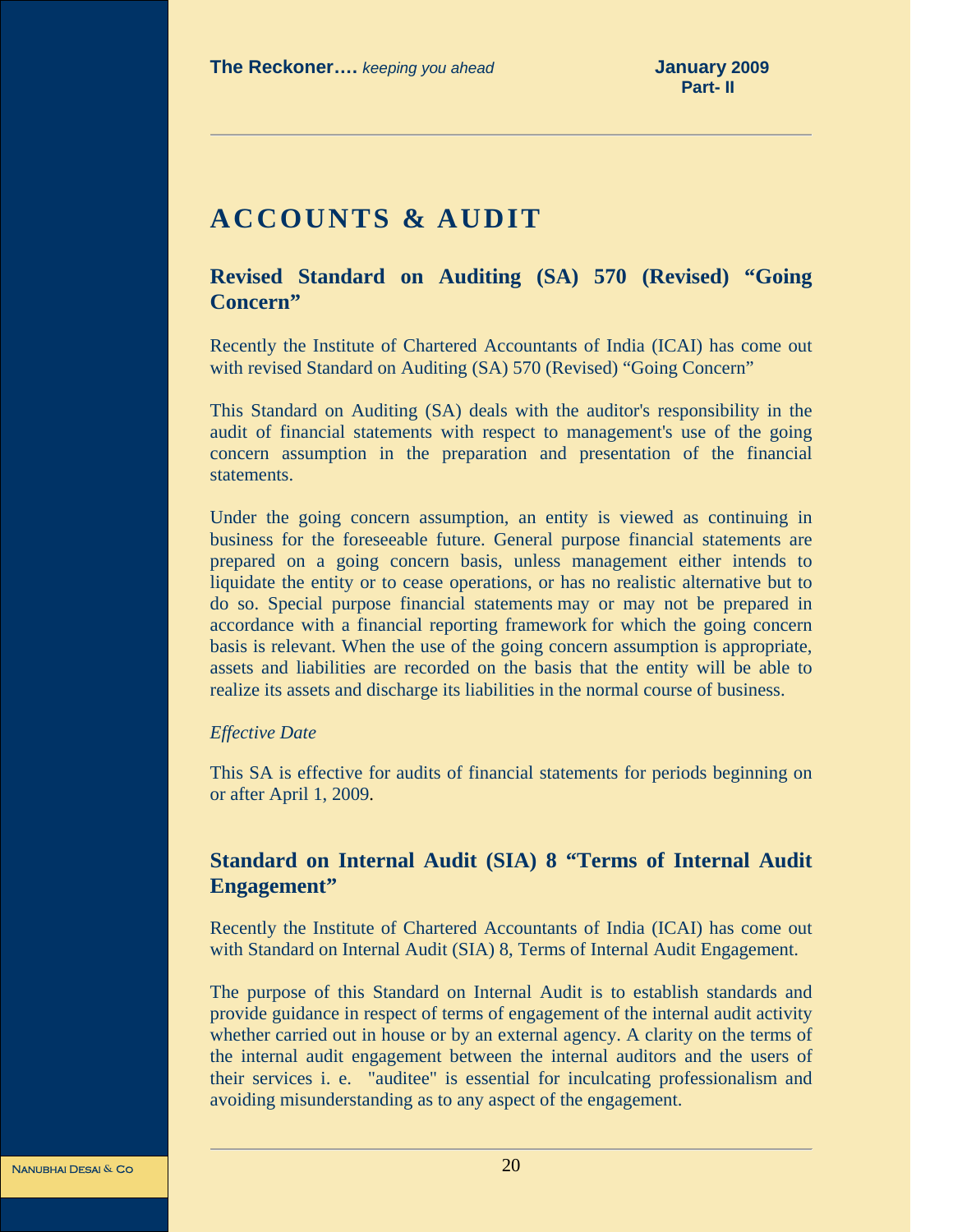# **ACCOUNTS & AUDIT**

**Revised Standard on Auditing (SA) 570 (Revised) "Going Concern"** 

Recently the Institute of Chartered Accountants of India (ICAI) has come out with revised Standard on Auditing (SA) 570 (Revised) "Going Concern"

This Standard on Auditing (SA) deals with the auditor's responsibility in the audit of financial statements with respect to management's use of the going concern assumption in the preparation and presentation of the financial statements.

Under the going concern assumption, an entity is viewed as continuing in business for the foreseeable future. General purpose financial statements are prepared on a going concern basis, unless management either intends to liquidate the entity or to cease operations, or has no realistic alternative but to do so. Special purpose financial statements may or may not be prepared in accordance with a financial reporting framework for which the going concern basis is relevant. When the use of the going concern assumption is appropriate, assets and liabilities are recorded on the basis that the entity will be able to realize its assets and discharge its liabilities in the normal course of business.

### *Effective Date*

This SA is effective for audits of financial statements for periods beginning on or after April 1, 2009.

### **Standard on Internal Audit (SIA) 8 "Terms of Internal Audit Engagement"**

Recently the Institute of Chartered Accountants of India (ICAI) has come out with Standard on Internal Audit (SIA) 8, Terms of Internal Audit Engagement.

The purpose of this Standard on Internal Audit is to establish standards and provide guidance in respect of terms of engagement of the internal audit activity whether carried out in house or by an external agency. A clarity on the terms of the internal audit engagement between the internal auditors and the users of their services i. e. "auditee" is essential for inculcating professionalism and avoiding misunderstanding as to any aspect of the engagement.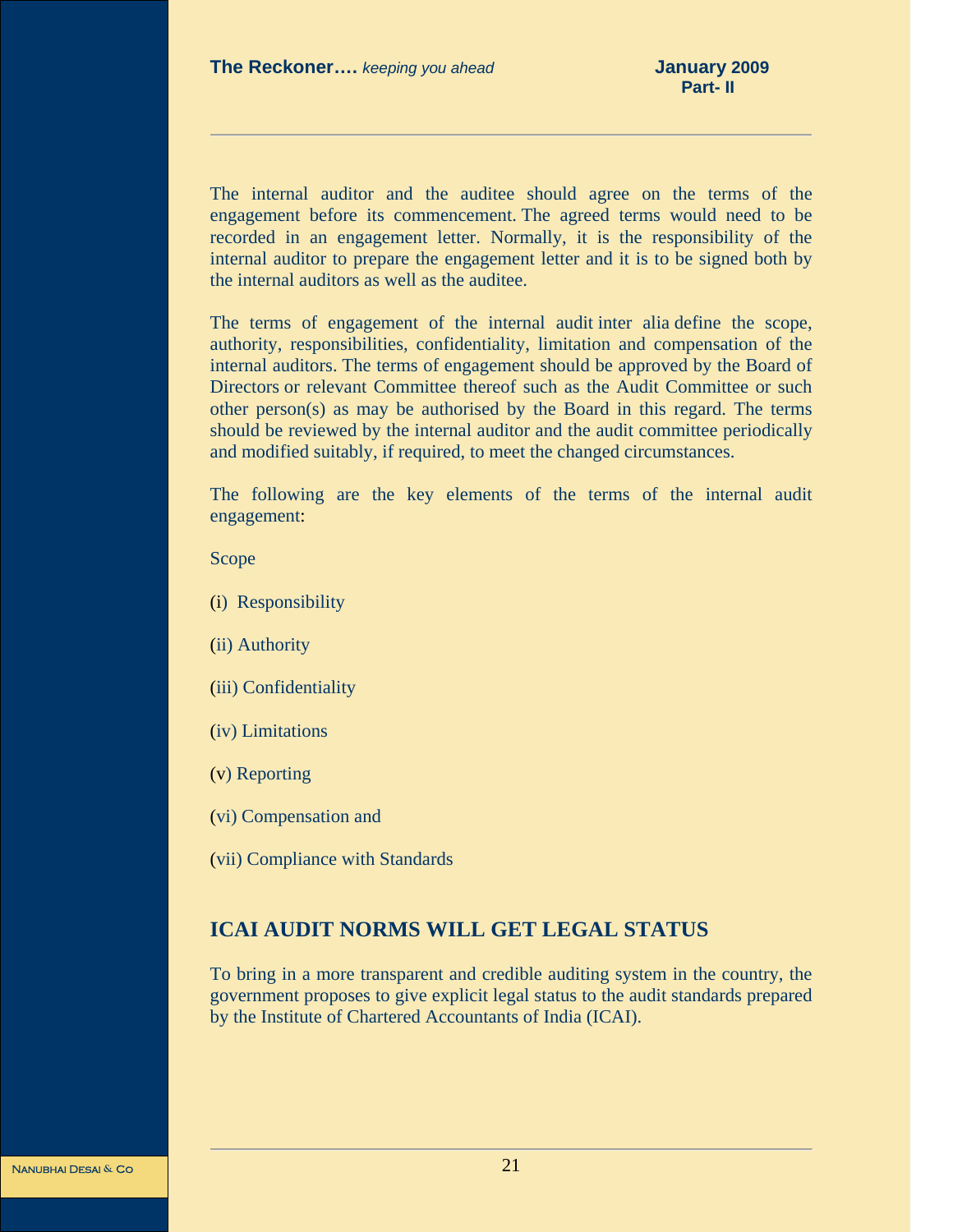The internal auditor and the auditee should agree on the terms of the engagement before its commencement. The agreed terms would need to be recorded in an engagement letter. Normally, it is the responsibility of the internal auditor to prepare the engagement letter and it is to be signed both by the internal auditors as well as the auditee.

The terms of engagement of the internal audit inter alia define the scope, authority, responsibilities, confidentiality, limitation and compensation of the internal auditors. The terms of engagement should be approved by the Board of Directors or relevant Committee thereof such as the Audit Committee or such other person(s) as may be authorised by the Board in this regard. The terms should be reviewed by the internal auditor and the audit committee periodically and modified suitably, if required, to meet the changed circumstances.

The following are the key elements of the terms of the internal audit engagement:

### Scope

- (i) Responsibility
- (ii) Authority
- (iii) Confidentiality
- (iv) Limitations
- (v) Reporting
- (vi) Compensation and
- (vii) Compliance with Standards

### **ICAI AUDIT NORMS WILL GET LEGAL STATUS**

To bring in a more transparent and credible auditing system in the country, the government proposes to give explicit legal status to the audit standards prepared by the Institute of Chartered Accountants of India (ICAI).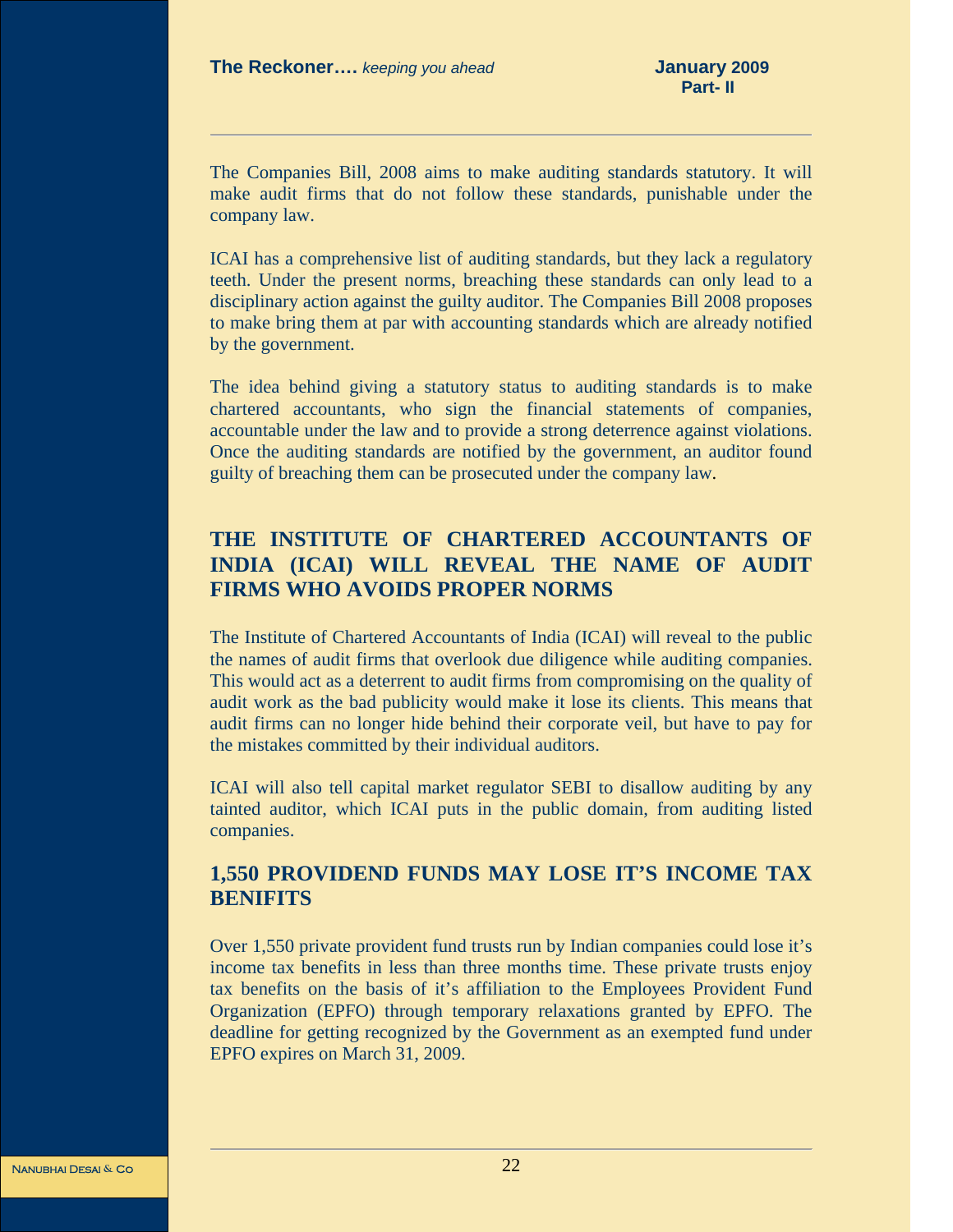The Companies Bill, 2008 aims to make auditing standards statutory. It will make audit firms that do not follow these standards, punishable under the company law.

ICAI has a comprehensive list of auditing standards, but they lack a regulatory teeth. Under the present norms, breaching these standards can only lead to a disciplinary action against the guilty auditor. The Companies Bill 2008 proposes to make bring them at par with accounting standards which are already notified by the government.

The idea behind giving a statutory status to auditing standards is to make chartered accountants, who sign the financial statements of companies, accountable under the law and to provide a strong deterrence against violations. Once the auditing standards are notified by the government, an auditor found guilty of breaching them can be prosecuted under the company law.

### **THE INSTITUTE OF CHARTERED ACCOUNTANTS OF INDIA (ICAI) WILL REVEAL THE NAME OF AUDIT FIRMS WHO AVOIDS PROPER NORMS**

The Institute of Chartered Accountants of India (ICAI) will reveal to the public the names of audit firms that overlook due diligence while auditing companies. This would act as a deterrent to audit firms from compromising on the quality of audit work as the bad publicity would make it lose its clients. This means that audit firms can no longer hide behind their corporate veil, but have to pay for the mistakes committed by their individual auditors.

ICAI will also tell capital market regulator SEBI to disallow auditing by any tainted auditor, which ICAI puts in the public domain, from auditing listed companies.

### **1,550 PROVIDEND FUNDS MAY LOSE IT'S INCOME TAX BENIFITS**

Over 1,550 private provident fund trusts run by Indian companies could lose it's income tax benefits in less than three months time. These private trusts enjoy tax benefits on the basis of it's affiliation to the Employees Provident Fund Organization (EPFO) through temporary relaxations granted by EPFO. The deadline for getting recognized by the Government as an exempted fund under EPFO expires on March 31, 2009.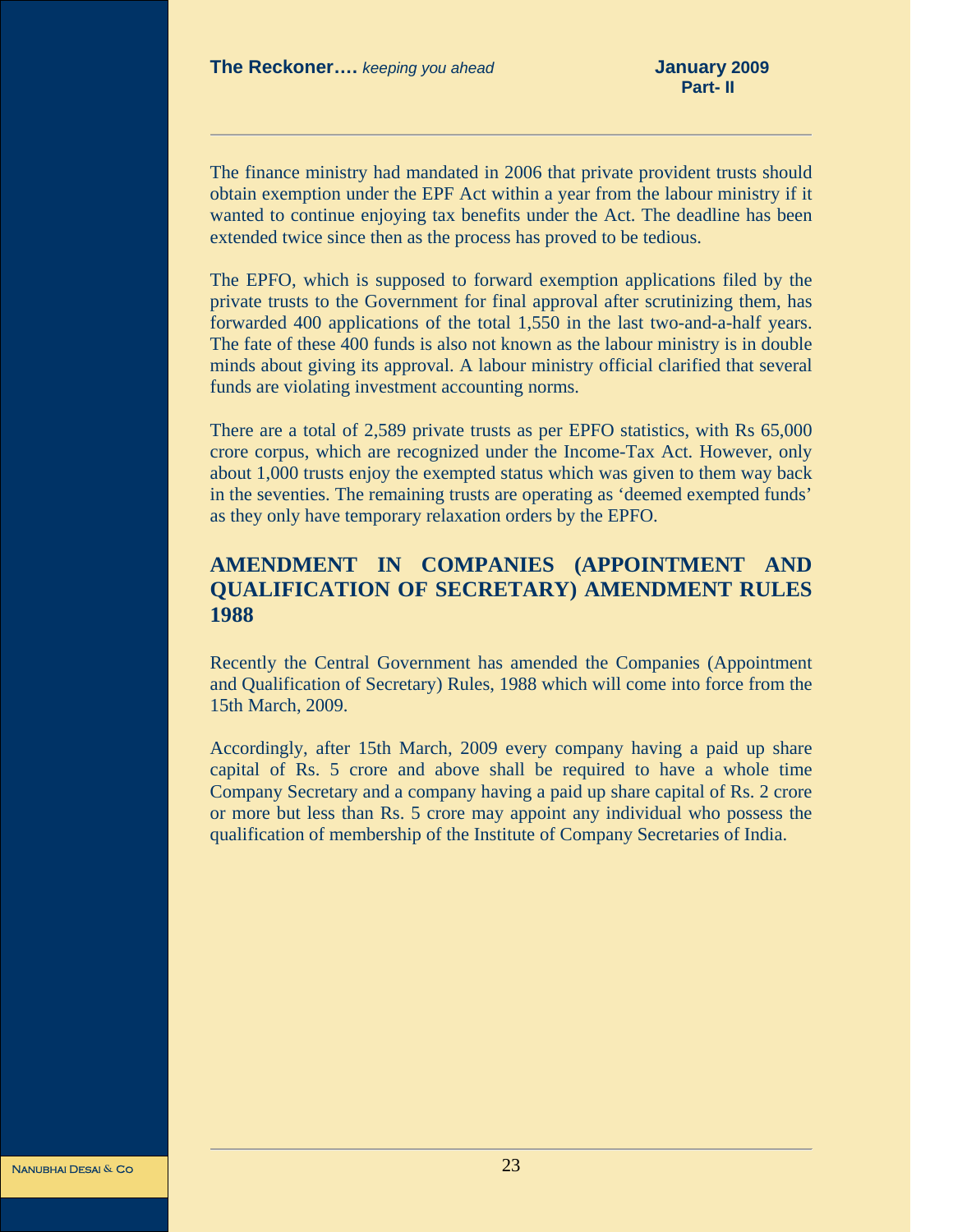The finance ministry had mandated in 2006 that private provident trusts should obtain exemption under the EPF Act within a year from the labour ministry if it wanted to continue enjoying tax benefits under the Act. The deadline has been extended twice since then as the process has proved to be tedious.

The EPFO, which is supposed to forward exemption applications filed by the private trusts to the Government for final approval after scrutinizing them, has forwarded 400 applications of the total 1,550 in the last two-and-a-half years. The fate of these 400 funds is also not known as the labour ministry is in double minds about giving its approval. A labour ministry official clarified that several funds are violating investment accounting norms.

There are a total of 2,589 private trusts as per EPFO statistics, with Rs 65,000 crore corpus, which are recognized under the Income-Tax Act. However, only about 1,000 trusts enjoy the exempted status which was given to them way back in the seventies. The remaining trusts are operating as 'deemed exempted funds' as they only have temporary relaxation orders by the EPFO.

### **AMENDMENT IN COMPANIES (APPOINTMENT AND QUALIFICATION OF SECRETARY) AMENDMENT RULES 1988**

Recently the Central Government has amended the Companies (Appointment and Qualification of Secretary) Rules, 1988 which will come into force from the 15th March, 2009.

Accordingly, after 15th March, 2009 every company having a paid up share capital of Rs. 5 crore and above shall be required to have a whole time Company Secretary and a company having a paid up share capital of Rs. 2 crore or more but less than Rs. 5 crore may appoint any individual who possess the qualification of membership of the Institute of Company Secretaries of India.